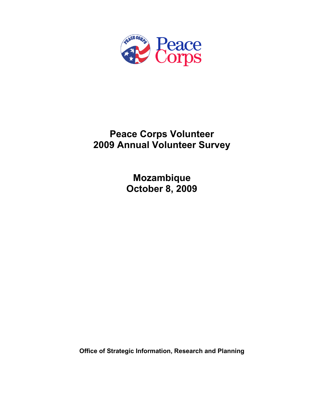

# **Peace Corps Volunteer 2009 Annual Volunteer Survey**

**Mozambique October 8, 2009** 

**Office of Strategic Information, Research and Planning**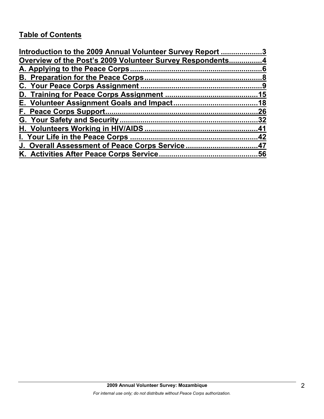# **Table of Contents**

| Introduction to the 2009 Annual Volunteer Survey Report 3 |     |
|-----------------------------------------------------------|-----|
| Overview of the Post's 2009 Volunteer Survey Respondents4 |     |
|                                                           |     |
|                                                           |     |
|                                                           |     |
|                                                           |     |
|                                                           |     |
|                                                           | .26 |
|                                                           |     |
|                                                           |     |
|                                                           |     |
| J. Overall Assessment of Peace Corps Service47            |     |
|                                                           |     |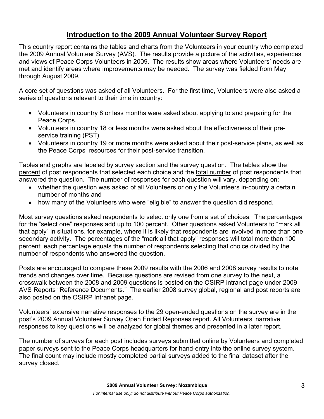# **Introduction to the 2009 Annual Volunteer Survey Report**

This country report contains the tables and charts from the Volunteers in your country who completed the 2009 Annual Volunteer Survey (AVS). The results provide a picture of the activities, experiences and views of Peace Corps Volunteers in 2009. The results show areas where Volunteers' needs are met and identify areas where improvements may be needed. The survey was fielded from May through August 2009.

A core set of questions was asked of all Volunteers. For the first time, Volunteers were also asked a series of questions relevant to their time in country:

- Volunteers in country 8 or less months were asked about applying to and preparing for the Peace Corps.
- Volunteers in country 18 or less months were asked about the effectiveness of their preservice training (PST).
- Volunteers in country 19 or more months were asked about their post-service plans, as well as the Peace Corps' resources for their post-service transition.

Tables and graphs are labeled by survey section and the survey question. The tables show the percent of post respondents that selected each choice and the total number of post respondents that answered the question. The number of responses for each question will vary, depending on:

- whether the question was asked of all Volunteers or only the Volunteers in-country a certain number of months and
- how many of the Volunteers who were "eligible" to answer the question did respond.

Most survey questions asked respondents to select only one from a set of choices. The percentages for the "select one" responses add up to 100 percent. Other questions asked Volunteers to "mark all that apply" in situations, for example, where it is likely that respondents are involved in more than one secondary activity. The percentages of the "mark all that apply" responses will total more than 100 percent; each percentage equals the number of respondents selecting that choice divided by the number of respondents who answered the question.

Posts are encouraged to compare these 2009 results with the 2006 and 2008 survey results to note trends and changes over time. Because questions are revised from one survey to the next, a crosswalk between the 2008 and 2009 questions is posted on the OSIRP intranet page under 2009 AVS Reports "Reference Documents." The earlier 2008 survey global, regional and post reports are also posted on the OSIRP Intranet page.

Volunteers' extensive narrative responses to the 29 open-ended questions on the survey are in the post's 2009 Annual Volunteer Survey Open Ended Reponses report. All Volunteers' narrative responses to key questions will be analyzed for global themes and presented in a later report.

The number of surveys for each post includes surveys submitted online by Volunteers and completed paper surveys sent to the Peace Corps headquarters for hand-entry into the online survey system. The final count may include mostly completed partial surveys added to the final dataset after the survey closed.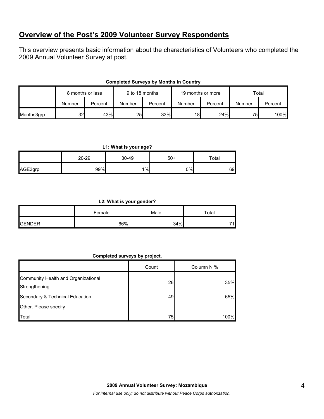## **Overview of the Post's 2009 Volunteer Survey Respondents**

This overview presents basic information about the characteristics of Volunteers who completed the 2009 Annual Volunteer Survey at post.

|            |        | 9 to 18 months<br>8 months or less |        | 19 months or more |        | Total   |        |         |
|------------|--------|------------------------------------|--------|-------------------|--------|---------|--------|---------|
|            | Number | Percent                            | Number | Percent           | Number | Percent | Number | Percent |
| Months3grp | 32I    | 43%                                | 25     | 33%               | 18     | 24%     | 75     | 100%    |

### **Completed Surveys by Months in Country**

**L1: What is your age?**

|         | 20-29 | $30 - 49$ | $50+$ | $\tau$ otal |
|---------|-------|-----------|-------|-------------|
| AGE3grp | 99%   | $1\%$     | 0%    | 69          |

**L2: What is your gender?**

|                | Female | Male | Total |
|----------------|--------|------|-------|
| <b>IGENDER</b> | 66%    | 34%  | 74.   |

## **Completed surveys by project.**

|                                                      | Count | Column N % |
|------------------------------------------------------|-------|------------|
| Community Health and Organizational<br>Strengthening | 26    | 35%        |
| Secondary & Technical Education                      | 49    | 65%        |
| Other. Please specify                                |       |            |
| Total                                                | 75    | 100%       |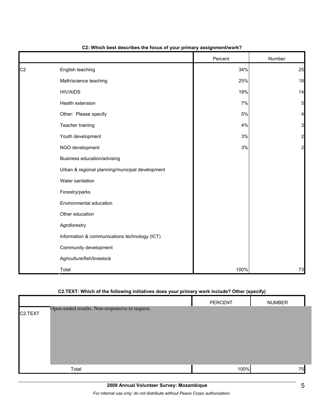|                |                                                 | Percent | Number         |
|----------------|-------------------------------------------------|---------|----------------|
| C <sub>2</sub> | English teaching                                | 34%     | 25             |
|                | Math/science teaching                           | 25%     | 18             |
|                | <b>HIV/AIDS</b>                                 | 19%     | 14             |
|                | Health extension                                | 7%      | 5              |
|                | Other: Please specify                           | $5\%$   | 4              |
|                | Teacher training                                | 4%      | 3              |
|                | Youth development                               | $3\%$   | $\overline{c}$ |
|                | NGO development                                 | $3%$    | $\overline{a}$ |
|                | Business education/advising                     |         |                |
|                | Urban & regional planning/municipal development |         |                |
|                | Water sanitation                                |         |                |
|                | Forestry/parks                                  |         |                |
|                | Environmental education                         |         |                |
|                | Other education                                 |         |                |
|                | Agroforestry                                    |         |                |
|                | Information & communications technology (ICT)   |         |                |
|                | Community development                           |         |                |
|                | Agriculture/fish/livestock                      |         |                |
|                | Total                                           | 100%    | 73             |

### **C2: Which best describes the focus of your primary assignment/work?**

## **C2.TEXT: Which of the following initiatives does your primary work include? Other (specify)**

|                                                           | <b>PERCENT</b> | <b>NUMBER</b> |
|-----------------------------------------------------------|----------------|---------------|
| Open-ended results. Non-responsive to request.<br>C2.TEXT |                |               |
| Total                                                     | 100%           | 75            |

*For internal use only; do not distribute without Peace Corps authorization.*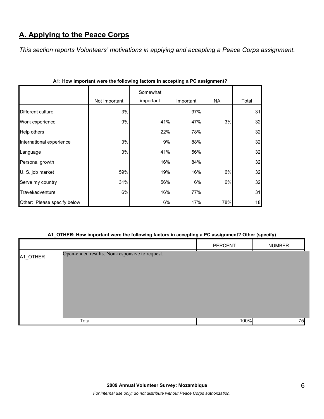# **A. Applying to the Peace Corps**

*This section reports Volunteers' motivations in applying and accepting a Peace Corps assignment.* 

|                             | Not Important | Somewhat<br>important | Important | NA  | Total |
|-----------------------------|---------------|-----------------------|-----------|-----|-------|
| Different culture           | 3%            |                       | 97%       |     | 31    |
| Work experience             | 9%            | 41%                   | 47%       | 3%  | 32    |
| Help others                 |               | 22%                   | 78%       |     | 32    |
| International experience    | 3%            | 9%                    | 88%       |     | 32    |
| Language                    | 3%            | 41%                   | 56%       |     | 32    |
| Personal growth             |               | 16%                   | 84%       |     | 32    |
| U. S. job market            | 59%           | 19%                   | 16%       | 6%  | 32    |
| Serve my country            | 31%           | 56%                   | 6%        | 6%  | 32    |
| Travel/adventure            | 6%            | 16%                   | 77%       |     | 31    |
| Other: Please specify below |               | 6%                    | 17%       | 78% | 18    |

|  | A1: How important were the following factors in accepting a PC assignment? |
|--|----------------------------------------------------------------------------|

## **A1\_OTHER: How important were the following factors in accepting a PC assignment? Other (specify)**

|          |                                                | PERCENT | <b>NUMBER</b> |
|----------|------------------------------------------------|---------|---------------|
| A1_OTHER | Open-ended results. Non-responsive to request. |         |               |
|          | Total                                          | 100%    | 75            |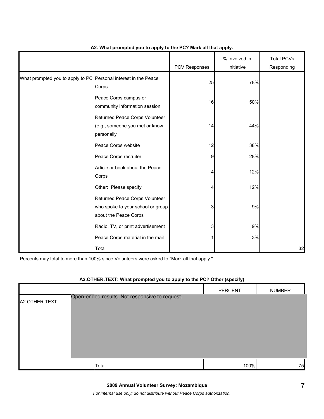|                                                                 |                                                                                              | PCV Responses | % Involved in<br>Initiative | <b>Total PCVs</b><br>Responding |
|-----------------------------------------------------------------|----------------------------------------------------------------------------------------------|---------------|-----------------------------|---------------------------------|
| What prompted you to apply to PC Personal interest in the Peace | Corps                                                                                        | 25            | 78%                         |                                 |
|                                                                 | Peace Corps campus or<br>community information session                                       | 16            | 50%                         |                                 |
|                                                                 | Returned Peace Corps Volunteer<br>(e.g., someone you met or know<br>personally               | 14            | 44%                         |                                 |
|                                                                 | Peace Corps website                                                                          | 12            | 38%                         |                                 |
|                                                                 | Peace Corps recruiter                                                                        | 9             | 28%                         |                                 |
|                                                                 | Article or book about the Peace<br>Corps                                                     | 4             | 12%                         |                                 |
|                                                                 | Other: Please specify                                                                        | 4             | 12%                         |                                 |
|                                                                 | Returned Peace Corps Volunteer<br>who spoke to your school or group<br>about the Peace Corps | 3             | 9%                          |                                 |
|                                                                 | Radio, TV, or print advertisement                                                            | 3             | 9%                          |                                 |
|                                                                 | Peace Corps material in the mail                                                             |               | 3%                          |                                 |
|                                                                 | Total                                                                                        |               |                             | 32                              |

## **A2. What prompted you to apply to the PC? Mark all that apply.**

Percents may total to more than 100% since Volunteers were asked to "Mark all that apply."

|               |                                                | <b>PERCENT</b> | <b>NUMBER</b> |
|---------------|------------------------------------------------|----------------|---------------|
| A2.OTHER.TEXT | Open-ended results. Not responsive to request. |                |               |
|               |                                                |                |               |
|               |                                                |                |               |
|               | Total                                          | 100%           | 75            |

## **A2.OTHER.TEXT: What prompted you to apply to the PC? Other (specify)**

*For internal use only; do not distribute without Peace Corps authorization.*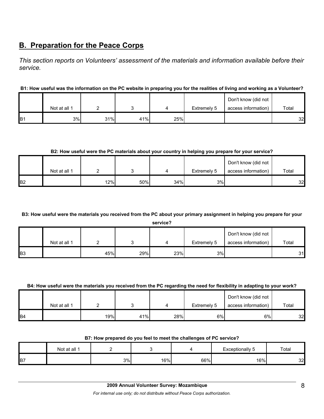# **B. Preparation for the Peace Corps**

*This section reports on Volunteers' assessment of the materials and information available before their service.* 

## **B1: How useful was the information on the PC website in preparing you for the realities of living and working as a Volunteer?**

|                |              |     |     |     |             | Don't know (did not |       |
|----------------|--------------|-----|-----|-----|-------------|---------------------|-------|
|                | Not at all 1 |     |     |     | Extremely 5 | access information) | Total |
| B <sub>1</sub> | 3%           | 31% | 41% | 25% |             |                     | 32    |

## **B2: How useful were the PC materials about your country in helping you prepare for your service?**

|                |              |     |     |     |             | Don't know (did not |       |
|----------------|--------------|-----|-----|-----|-------------|---------------------|-------|
|                | Not at all 1 |     |     |     | Extremely 5 | access information) | Total |
| B <sub>2</sub> |              | 12% | 50% | 34% | 3%          |                     | 32    |

## **B3: How useful were the materials you received from the PC about your primary assignment in helping you prepare for your**

**service?**

|                |              |     |     |     |             | Don't know (did not |       |
|----------------|--------------|-----|-----|-----|-------------|---------------------|-------|
|                | Not at all 1 |     |     |     | Extremely 5 | access information) | Total |
| B <sub>3</sub> |              | 45% | 29% | 23% | 3%          |                     | 31    |

### **B4: How useful were the materials you received from the PC regarding the need for flexibility in adapting to your work?**

|                | Not at all 1 |     |     |     | Extremely 5 | Don't know (did not<br>access information) | Total |
|----------------|--------------|-----|-----|-----|-------------|--------------------------------------------|-------|
| B <sub>4</sub> |              | 19% | 41% | 28% | 6%          | 6%।                                        | 32    |

|  |  | B7: How prepared do you feel to meet the challenges of PC service? |
|--|--|--------------------------------------------------------------------|
|--|--|--------------------------------------------------------------------|

|                | Not at all 1 |    |     |     | Exceptionally<br>ت | Total |
|----------------|--------------|----|-----|-----|--------------------|-------|
| B <sub>7</sub> |              | 3% | 16% | 66% | 16%                | 32    |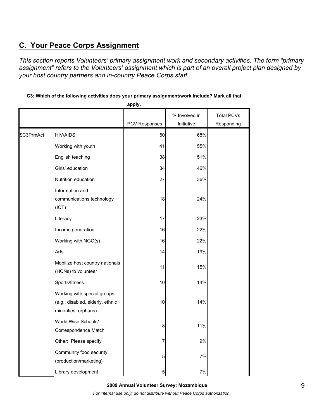# **C. Your Peace Corps Assignment**

*This section reports Volunteers' primary assignment work and secondary activities. The term "primary assignment" refers to the Volunteers' assignment which is part of an overall project plan designed by your host country partners and in-country Peace Corps staff.* 

| C3: Which of the following activities does your primary assignment/work include? Mark all that |  |
|------------------------------------------------------------------------------------------------|--|
|------------------------------------------------------------------------------------------------|--|

**apply.**

|            |                                                                                         | PCV Responses | % Involved in<br>Initiative | <b>Total PCVs</b><br>Responding |
|------------|-----------------------------------------------------------------------------------------|---------------|-----------------------------|---------------------------------|
| \$C3PrmAct | <b>HIV/AIDS</b>                                                                         | 50            | 68%                         |                                 |
|            | Working with youth                                                                      | 41            | 55%                         |                                 |
|            | English teaching                                                                        | 38            | 51%                         |                                 |
|            | Girls' education                                                                        | 34            | 46%                         |                                 |
|            | Nutrition education                                                                     | 27            | 36%                         |                                 |
|            | Information and<br>communications technology<br>(ICT)                                   | 18            | 24%                         |                                 |
|            | Literacy                                                                                | 17            | 23%                         |                                 |
|            | Income generation                                                                       | 16            | 22%                         |                                 |
|            | Working with NGO(s)                                                                     | 16            | 22%                         |                                 |
|            | Arts                                                                                    | 14            | 19%                         |                                 |
|            | Mobilize host country nationals<br>(HCNs) to volunteer                                  | 11            | 15%                         |                                 |
|            | Sports/fitness                                                                          | 10            | 14%                         |                                 |
|            | Working with special groups<br>(e.g., disabled, elderly, ethnic<br>minorities, orphans) | 10            | 14%                         |                                 |
|            | World Wise Schools/<br>Correspondence Match                                             | 8             | 11%                         |                                 |
|            | Other: Please specify                                                                   | 7             | 9%                          |                                 |
|            | Community food security<br>(production/marketing)                                       | 5             | 7%                          |                                 |
|            | Library development                                                                     | 5             | 7%                          |                                 |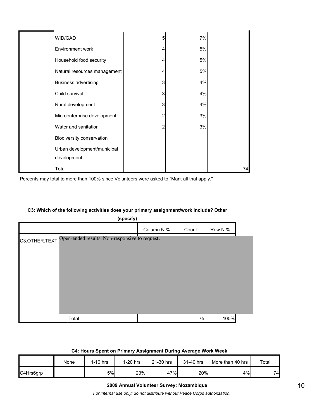| WID/GAD                      | 5 | 7% |    |
|------------------------------|---|----|----|
| Environment work             |   | 5% |    |
| Household food security      |   | 5% |    |
| Natural resources management |   | 5% |    |
| <b>Business advertising</b>  | 3 | 4% |    |
| Child survival               | 3 | 4% |    |
| Rural development            | 3 | 4% |    |
| Microenterprise development  | 2 | 3% |    |
| Water and sanitation         | 2 | 3% |    |
| Biodiversity conservation    |   |    |    |
| Urban development/municipal  |   |    |    |
| development                  |   |    |    |
| Total                        |   |    | 74 |

Percents may total to more than 100% since Volunteers were asked to "Mark all that apply."

### **C3: Which of the following activities does your primary assignment/work include? Other**

| (specify)                                                       |            |       |         |  |  |  |  |  |
|-----------------------------------------------------------------|------------|-------|---------|--|--|--|--|--|
|                                                                 | Column N % | Count | Row N % |  |  |  |  |  |
| Open-ended results. Non-responsive to request.<br>C3.OTHER.TEXT |            |       |         |  |  |  |  |  |
|                                                                 |            |       |         |  |  |  |  |  |
|                                                                 |            |       |         |  |  |  |  |  |
|                                                                 |            |       |         |  |  |  |  |  |
|                                                                 |            |       |         |  |  |  |  |  |
|                                                                 |            |       |         |  |  |  |  |  |
|                                                                 |            |       |         |  |  |  |  |  |
| Total                                                           |            | 75    | 100%    |  |  |  |  |  |

#### **C4: Hours Spent on Primary Assignment During Average Work Week**

|           | None | $1-10$ hrs | 11-20 hrs | 21-30 hrs | 31-40 hrs | More than 40 hrs | Total |
|-----------|------|------------|-----------|-----------|-----------|------------------|-------|
| C4Hrs6grp |      | 5%         | 23%       | 47%       | 20%       | 4%               | 74    |

#### **2009 Annual Volunteer Survey: Mozambique**

*For internal use only; do not distribute without Peace Corps authorization.*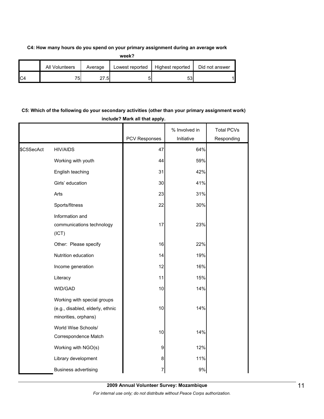### **C4: How many hours do you spend on your primary assignment during an average work**

|                | All Volunteers | Average | Lowest reported | Highest reported | Did not answer |
|----------------|----------------|---------|-----------------|------------------|----------------|
| C <sub>4</sub> | 75.            | 27.51   |                 | ეა               |                |

## **C5: Which of the following do your secondary activities (other than your primary assignment work) include? Mark all that apply.**

|            |                                                                                         |               | % Involved in | <b>Total PCVs</b> |
|------------|-----------------------------------------------------------------------------------------|---------------|---------------|-------------------|
|            |                                                                                         | PCV Responses | Initiative    | Responding        |
| \$C5SecAct | <b>HIV/AIDS</b>                                                                         | 47            | 64%           |                   |
|            | Working with youth                                                                      | 44            | 59%           |                   |
|            | English teaching                                                                        | 31            | 42%           |                   |
|            | Girls' education                                                                        | 30            | 41%           |                   |
|            | Arts                                                                                    | 23            | 31%           |                   |
|            | Sports/fitness                                                                          | 22            | 30%           |                   |
|            | Information and<br>communications technology<br>(ICT)                                   | 17            | 23%           |                   |
|            | Other: Please specify                                                                   | 16            | 22%           |                   |
|            | Nutrition education                                                                     | 14            | 19%           |                   |
|            | Income generation                                                                       | 12            | 16%           |                   |
|            | Literacy                                                                                | 11            | 15%           |                   |
|            | WID/GAD                                                                                 | 10            | 14%           |                   |
|            | Working with special groups<br>(e.g., disabled, elderly, ethnic<br>minorities, orphans) | 10            | 14%           |                   |
|            | World Wise Schools/<br>Correspondence Match                                             | $10$          | 14%           |                   |
|            | Working with NGO(s)                                                                     | 9             | 12%           |                   |
|            | Library development                                                                     | 8             | 11%           |                   |
|            | <b>Business advertising</b>                                                             | 7             | 9%            |                   |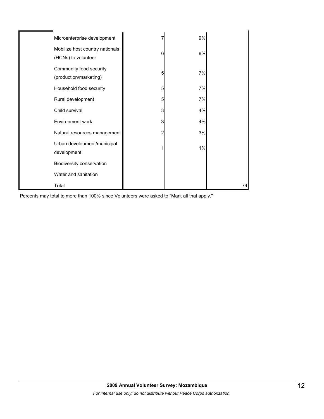| Microenterprise development                            |   | 9% |    |
|--------------------------------------------------------|---|----|----|
| Mobilize host country nationals<br>(HCNs) to volunteer | 6 | 8% |    |
| Community food security<br>(production/marketing)      | 5 | 7% |    |
| Household food security                                | 5 | 7% |    |
| Rural development                                      | 5 | 7% |    |
| Child survival                                         | 3 | 4% |    |
| Environment work                                       | 3 | 4% |    |
| Natural resources management                           | 2 | 3% |    |
| Urban development/municipal<br>development             |   | 1% |    |
| Biodiversity conservation                              |   |    |    |
| Water and sanitation                                   |   |    |    |
| Total                                                  |   |    | 74 |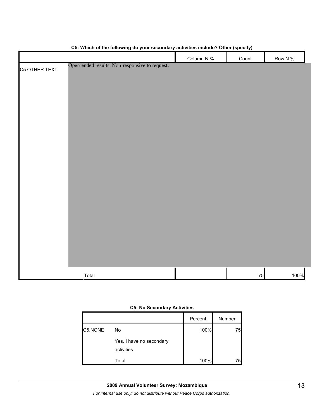|               |                                                | Column N % | Count | Row N % |
|---------------|------------------------------------------------|------------|-------|---------|
| C5.OTHER.TEXT | Open-ended results. Non-responsive to request. |            |       |         |
|               |                                                |            |       |         |
|               |                                                |            |       |         |
|               |                                                |            |       |         |
|               |                                                |            |       |         |
|               |                                                |            |       |         |
|               |                                                |            |       |         |
|               |                                                |            |       |         |
|               |                                                |            |       |         |
|               |                                                |            |       |         |
|               |                                                |            |       |         |
|               |                                                |            |       |         |
|               |                                                |            |       |         |
|               |                                                |            |       |         |
|               |                                                |            |       |         |
|               |                                                |            |       |         |
|               |                                                |            |       |         |
|               |                                                |            |       |         |
|               |                                                |            |       |         |
|               |                                                |            |       |         |
|               |                                                |            |       |         |
|               |                                                |            |       |         |
|               |                                                |            |       |         |
|               | Total                                          |            | 75    | 100%    |

## **C5: Which of the following do your secondary activities include? Other (specify)**

#### **C5: No Secondary Activities**

|         |                                        | Percent | Number |
|---------|----------------------------------------|---------|--------|
| C5.NONE | No                                     | 100%    | 75     |
|         | Yes, I have no secondary<br>activities |         |        |
|         | Total                                  | 100%    | 75     |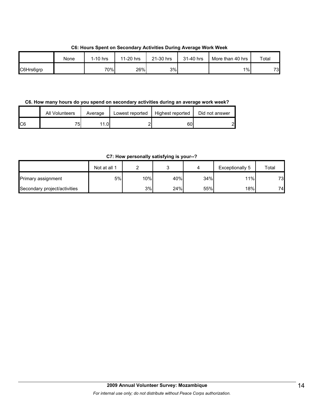**C6: Hours Spent on Secondary Activities During Average Work Week**

|           | None | 1-10 hrs | 11-20 hrs | 21-30 hrs | 31-40 hrs | More than 40 hrs | Total |
|-----------|------|----------|-----------|-----------|-----------|------------------|-------|
| C6Hrs6grp |      | 70%      | 26%       | 3%        |           | $1\%$            | 73    |

**C6. How many hours do you spend on secondary activities during an average work week?**

|     | <b>All Volunteers</b> | Average | Lowest reported | Highest reported | Did not answer |
|-----|-----------------------|---------|-----------------|------------------|----------------|
| IC6 | 75.                   |         |                 | 60               | പ              |

**C7: How personally satisfying is your--?**

|                              | Not at all 1 |     |     |     | Exceptionally 5 | Total |
|------------------------------|--------------|-----|-----|-----|-----------------|-------|
| <b>Primary assignment</b>    | 5%           | 10% | 40% | 34% | 11%             | 73    |
| Secondary project/activities |              | 3%  | 24% | 55% | 18%             | 74.   |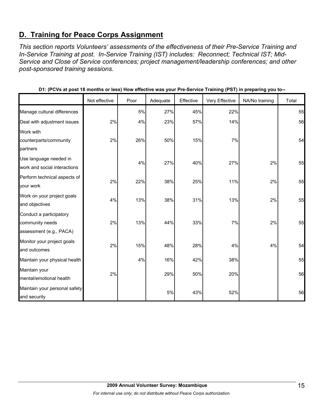# **D. Training for Peace Corps Assignment**

*This section reports Volunteers' assessments of the effectiveness of their Pre-Service Training and In-Service Training at post. In-Service Training (IST) includes: Reconnect; Technical IST; Mid-Service and Close of Service conferences; project management/leadership conferences; and other post-sponsored training sessions.* 

|                                                                       | Not effective | Poor | Adequate | Effective | Very Effective | NA/No training | Total |
|-----------------------------------------------------------------------|---------------|------|----------|-----------|----------------|----------------|-------|
| Manage cultural differences                                           |               | 5%   | 27%      | 45%       | 22%            |                | 55    |
| Deal with adjustment issues                                           | 2%            | 4%   | 23%      | 57%       | 14%            |                | 56    |
| Work with<br>counterparts/community<br>partners                       | 2%            | 26%  | 50%      | 15%       | 7%             |                | 54    |
| Use language needed in<br>work and social interactions                |               | 4%   | 27%      | 40%       | 27%            | 2%             | 55    |
| Perform technical aspects of<br>your work                             | 2%            | 22%  | 38%      | 25%       | 11%            | 2%             | 55    |
| Work on your project goals<br>and objectives                          | 4%            | 13%  | 38%      | 31%       | 13%            | 2%             | 55    |
| Conduct a participatory<br>community needs<br>assessment (e.g., PACA) | 2%            | 13%  | 44%      | 33%       | 7%             | 2%             | 55    |
| Monitor your project goals<br>and outcomes                            | 2%            | 15%  | 48%      | 28%       | 4%             | 4%             | 54    |
| Maintain your physical health                                         |               | 4%   | 16%      | 42%       | 38%            |                | 55    |
| Maintain your<br>mental/emotional health                              | 2%            |      | 29%      | 50%       | 20%            |                | 56    |
| Maintain your personal safety<br>and security                         |               |      | $5%$     | 43%       | 52%            |                | 56    |

**D1: (PCVs at post 18 months or less) How effective was your Pre-Service Training (PST) in preparing you to--**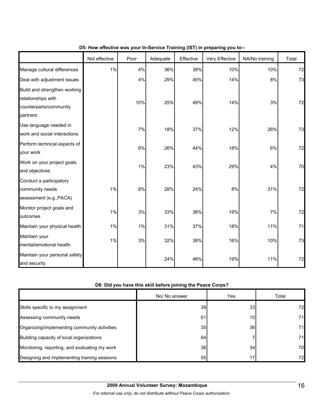|                                                                                          | Not effective | Poor | Adequate | Effective | Very Effective | NA/No training | Total |
|------------------------------------------------------------------------------------------|---------------|------|----------|-----------|----------------|----------------|-------|
| Manage cultural differences                                                              | 1%            | 4%   | 36%      | 39%       | 10%            | 10%            | 72    |
| Deal with adjustment issues                                                              |               | 4%   | 29%      | 45%       | 14%            | 8%             | 73    |
| Build and strengthen working<br>relationships with<br>counterparts/community<br>partners |               | 10%  | 25%      | 49%       | 14%            | 3%             | 72    |
| Use language needed in<br>work and social interactions                                   |               | 7%   | 18%      | 37%       | 12%            | 26%            | 73    |
| Perform technical aspects of<br>your work                                                |               | 6%   | 26%      | 44%       | 18%            | 6%             | 72    |
| Work on your project goals<br>and objectives                                             |               | 1%   | 23%      | 43%       | 29%            | 4%             | 70    |
| Conduct a participatory<br>community needs<br>assessment (e.g., PACA)                    | 1%            | 8%   | 28%      | 24%       | 8%             | 31%            | 72    |
| Monitor project goals and<br>outcomes                                                    | 1%            | 3%   | 33%      | 36%       | 19%            | 7%             | 72    |
| Maintain your physical health                                                            | 1%            | 1%   | 31%      | 37%       | 18%            | 11%            | 71    |
| Maintain your<br>mental/emotional health                                                 | 1%            | 3%   | 32%      | 38%       | 16%            | 10%            | 73    |
| Maintain your personal safety<br>and security                                            |               |      | 24%      | 46%       | 19%            | 11%            | 72    |

## **D5: How effective was your In-Service Training (IST) in preparing you to--**

## **D8: Did you have this skill before joining the Peace Corps?**

|                                               | No/ No answer   | Yes             | Total |
|-----------------------------------------------|-----------------|-----------------|-------|
| Skills specific to my assignment              | 39 <sub>l</sub> | 33 <sub>1</sub> | 72    |
| Assessing community needs                     | 61              | 10              | 71.   |
| Organizing/implementing community activities  | 35              | 36              | 71    |
| Building capacity of local organizations      | 64              |                 | 71    |
| Monitoring, reporting, and evaluating my work | 36 <sup>l</sup> | 34              | 70    |
| Designing and implementing training sessions  | 55              |                 | 72    |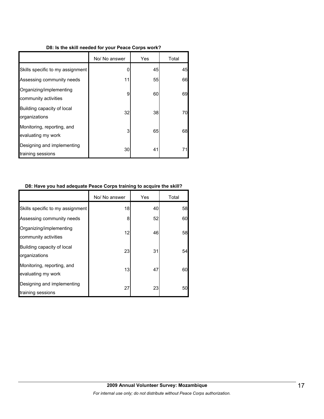### **D8: Is the skill needed for your Peace Corps work?**

|                                                  | No/ No answer | Yes | Total |
|--------------------------------------------------|---------------|-----|-------|
| Skills specific to my assignment                 |               | 45  | 45    |
| Assessing community needs                        | 11            | 55  | 66    |
| Organizing/implementing<br>community activities  | 9             | 60  | 69    |
| Building capacity of local<br>organizations      | 32            | 38  | 70    |
| Monitoring, reporting, and<br>evaluating my work | 3             | 65  | 68    |
| Designing and implementing<br>training sessions  | 30            | 41  | 71    |

### **D8: Have you had adequate Peace Corps training to acquire the skill?**

|                                                  | No/ No answer | Yes | Total |
|--------------------------------------------------|---------------|-----|-------|
| Skills specific to my assignment                 | 18            | 40  | 58    |
| Assessing community needs                        | 8             | 52  | 60    |
| Organizing/implementing<br>community activities  | 12            | 46  | 58    |
| Building capacity of local<br>organizations      | 23            | 31  | 54    |
| Monitoring, reporting, and<br>evaluating my work | 13            | 47  | 60    |
| Designing and implementing<br>training sessions  | 27            | 23  | 50    |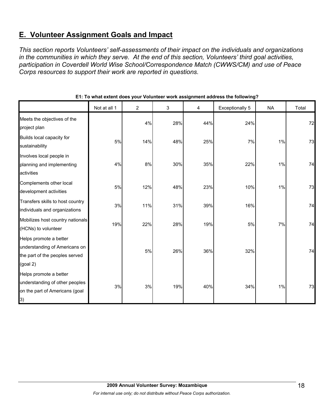# **E. Volunteer Assignment Goals and Impact**

*This section reports Volunteers' self-assessments of their impact on the individuals and organizations in the communities in which they serve. At the end of this section, Volunteers' third goal activities, participation in Coverdell World Wise School/Correspondence Match (CWWS/CM) and use of Peace Corps resources to support their work are reported in questions.* 

|                                                                                                       | Not at all 1 | $\overline{2}$ | 3   | 4   | <b>Exceptionally 5</b> | <b>NA</b> | Total |
|-------------------------------------------------------------------------------------------------------|--------------|----------------|-----|-----|------------------------|-----------|-------|
| Meets the objectives of the<br>project plan                                                           |              | 4%             | 28% | 44% | 24%                    |           | 72    |
| Builds local capacity for<br>sustainability                                                           | 5%           | 14%            | 48% | 25% | 7%                     | 1%        | 73    |
| Involves local people in<br>planning and implementing<br>activities                                   | 4%           | 8%             | 30% | 35% | 22%                    | $1\%$     | 74    |
| Complements other local<br>development activities                                                     | $5\%$        | 12%            | 48% | 23% | 10%                    | $1\%$     | 73    |
| Transfers skills to host country<br>individuals and organizations                                     | 3%           | 11%            | 31% | 39% | 16%                    |           | 74    |
| Mobilizes host country nationals<br>(HCNs) to volunteer                                               | 19%          | 22%            | 28% | 19% | 5%                     | 7%        | 74    |
| Helps promote a better<br>understanding of Americans on<br>the part of the peoples served<br>(goal 2) |              | 5%             | 26% | 36% | 32%                    |           | 74    |
| Helps promote a better<br>understanding of other peoples<br>on the part of Americans (goal<br> 3)     | 3%           | 3%             | 19% | 40% | 34%                    | 1%        | 73    |

## **E1: To what extent does your Volunteer work assignment address the following?**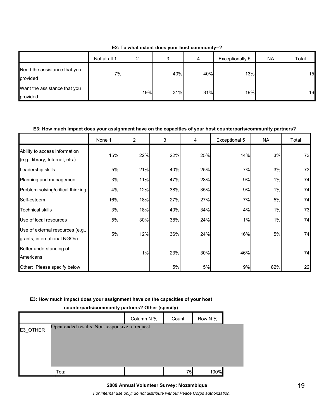|                                          | Not at all 1 | ⌒   | ົ<br>J | 4   | Exceptionally 5 | NA | Total |
|------------------------------------------|--------------|-----|--------|-----|-----------------|----|-------|
| Need the assistance that you<br>provided | $7\%$        |     | 40%    | 40% | 13%             |    | 15    |
| Want the assistance that you<br>provided |              | 19% | 31%    | 31% | 19%             |    | 16    |

**E2: To what extent does your host community--?**

## **E3: How much impact does your assignment have on the capacities of your host counterparts/community partners?**

|                                                                  | None 1 | $\overline{2}$ | 3   | 4   | Exceptional 5 | NA.   | Total |
|------------------------------------------------------------------|--------|----------------|-----|-----|---------------|-------|-------|
| Ability to access information<br>(e.g., library, Internet, etc.) | 15%    | 22%            | 22% | 25% | 14%           | 3%    | 73    |
| Leadership skills                                                | 5%     | 21%            | 40% | 25% | 7%            | 3%    | 73    |
| Planning and management                                          | 3%     | 11%            | 47% | 28% | 9%            | 1%    | 74    |
| Problem solving/critical thinking                                | 4%     | 12%            | 38% | 35% | 9%            | $1\%$ | 74    |
| Self-esteem                                                      | 16%    | 18%            | 27% | 27% | 7%            | 5%    | 74    |
| <b>Technical skills</b>                                          | 3%     | 18%            | 40% | 34% | 4%            | 1%    | 73    |
| Use of local resources                                           | 5%     | 30%            | 38% | 24% | 1%            | 1%    | 74    |
| Use of external resources (e.g.,<br>grants, international NGOs)  | 5%     | 12%            | 36% | 24% | 16%           | 5%    | 74    |
| Better understanding of<br>Americans                             |        | 1%             | 23% | 30% | 46%           |       | 74    |
| Other: Please specify below                                      |        |                | 5%  | 5%  | 9%            | 82%   | 22    |

## **E3: How much impact does your assignment have on the capacities of your host**

|          | counterparts/community partners? Other (specify) |            |       |         |  |  |  |  |  |
|----------|--------------------------------------------------|------------|-------|---------|--|--|--|--|--|
|          |                                                  | Column N % | Count | Row N % |  |  |  |  |  |
| E3 OTHER | Open-ended results. Non-responsive to request.   |            |       |         |  |  |  |  |  |
|          |                                                  |            |       |         |  |  |  |  |  |
|          |                                                  |            |       |         |  |  |  |  |  |
|          |                                                  |            |       |         |  |  |  |  |  |
|          | Total                                            |            | 75    | 100%    |  |  |  |  |  |

### **counterparts/community partners? Other (specify)**

*For internal use only; do not distribute without Peace Corps authorization.*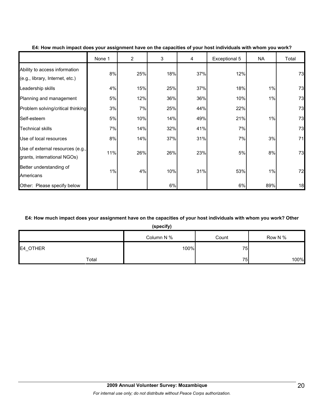|                                                                  | None 1 | $\overline{2}$ | 3   | 4   | Exceptional 5 | NA  | Total |
|------------------------------------------------------------------|--------|----------------|-----|-----|---------------|-----|-------|
| Ability to access information<br>(e.g., library, Internet, etc.) | 8%     | 25%            | 18% | 37% | 12%           |     | 73    |
| Leadership skills                                                | 4%     | 15%            | 25% | 37% | 18%           | 1%  | 73    |
| Planning and management                                          | 5%     | 12%            | 36% | 36% | 10%           | 1%  | 73    |
| Problem solving/critical thinking                                | 3%     | 7%             | 25% | 44% | 22%           |     | 73    |
| Self-esteem                                                      | 5%     | 10%            | 14% | 49% | 21%           | 1%  | 73    |
| <b>Technical skills</b>                                          | 7%     | 14%            | 32% | 41% | 7%            |     | 73    |
| Use of local resources                                           | 8%     | 14%            | 37% | 31% | 7%            | 3%  | 71    |
| Use of external resources (e.g.,<br>grants, international NGOs)  | 11%    | 26%            | 26% | 23% | 5%            | 8%  | 73    |
| Better understanding of<br>Americans                             | 1%     | 4%             | 10% | 31% | 53%           | 1%  | 72    |
| Other: Please specify below                                      |        |                | 6%  |     | 6%            | 89% | 18    |

### **E4: How much impact does your assignment have on the capacities of your host individuals with whom you work?**

### **E4: How much impact does your assignment have on the capacities of your host individuals with whom you work? Other**

**(specify)**

|          | Column N % | Count | Row N % |
|----------|------------|-------|---------|
| E4_OTHER | 100%       | 75    |         |
| Total    |            | 75    | 100%    |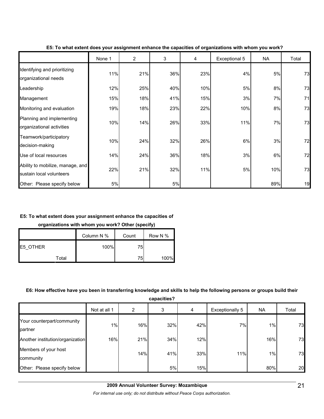|                                                              | None 1 | $\overline{2}$ | 3   | 4   | Exceptional 5 | <b>NA</b> | Total |
|--------------------------------------------------------------|--------|----------------|-----|-----|---------------|-----------|-------|
| Identifying and prioritizing<br>organizational needs         | 11%    | 21%            | 36% | 23% | 4%            | 5%        | 73    |
| Leadership                                                   | 12%    | 25%            | 40% | 10% | 5%            | 8%        | 73    |
| Management                                                   | 15%    | 18%            | 41% | 15% | 3%            | 7%        | 71    |
| Monitoring and evaluation                                    | 19%    | 18%            | 23% | 22% | 10%           | 8%        | 73    |
| Planning and implementing<br>organizational activities       | 10%    | 14%            | 26% | 33% | 11%           | 7%        | 73    |
| Teamwork/participatory<br>decision-making                    | 10%    | 24%            | 32% | 26% | 6%            | 3%        | 72    |
| Use of local resources                                       | 14%    | 24%            | 36% | 18% | 3%            | 6%        | 72    |
| Ability to mobilize, manage, and<br>sustain local volunteers | 22%    | 21%            | 32% | 11% | 5%            | 10%       | 73    |
| Other: Please specify below                                  | 5%     |                | 5%  |     |               | 89%       | 19    |

### **E5: To what extent does your assignment enhance the capacities of organizations with whom you work?**

## **E5: To what extent does your assignment enhance the capacities of**

**organizations with whom you work? Other (specify)**

|          |       | Column N % | Count | Row N % |
|----------|-------|------------|-------|---------|
| E5 OTHER |       | 100%       | 75    |         |
|          | Total |            | 75    | 100%    |

#### **E6: How effective have you been in transferring knowledge and skills to help the following persons or groups build their**

**capacities?**

|                                       | Not at all 1 | $\overline{2}$ | 3   | 4   | Exceptionally 5 | <b>NA</b> | Total |
|---------------------------------------|--------------|----------------|-----|-----|-----------------|-----------|-------|
| Your counterpart/community<br>partner | $1\%$        | 16%            | 32% | 42% | 7%              | $1\%$     | 73    |
| Another institution/organization      | 16%          | 21%            | 34% | 12% |                 | 16%       | 73    |
| Members of your host<br>community     |              | 14%            | 41% | 33% | 11%             | $1\%$     | 73    |
| Other: Please specify below           |              |                | 5%  | 15% |                 | 80%       | 20    |

*For internal use only; do not distribute without Peace Corps authorization.*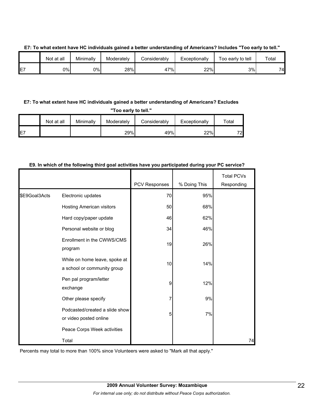|    | Not at all | Minimally | Moderately | Considerablv | Exceptionally | Too early to tell | Total |
|----|------------|-----------|------------|--------------|---------------|-------------------|-------|
| E7 | 0%l        | 0%        | 28%        | 47%          | 22%           | 3%l               | 74    |

### **E7: To what extent have HC individuals gained a better understanding of Americans? Includes "Too early to tell."**

## **E7: To what extent have HC individuals gained a better understanding of Americans? Excludes**

**"Too early to tell."**

|     | Not at all | Minimally | Moderately | Considerably | Exceptionally | ™otal |
|-----|------------|-----------|------------|--------------|---------------|-------|
| IE7 |            |           | 29%        | 49%          | 22%           | 72    |

## PCV Responses | % Doing This Total PCVs Responding Electronic updates **1998** and 1997 and 1998 and 1997 and 1998 and 1997 and 1998 and 1998 and 1998 and 1998 and 19 Hosting American visitors 50 68% Hard copy/paper update **1988** and the 46 files of  $\sqrt{62\%}$ Personal website or blog  $\overline{34}$  34  $\overline{34}$  46% Enrollment in the CWWS/CMS program 19 26% While on home leave, spoke at a school or community group 10 14% Pen pal program/letter exchange 9 12% Other please specify **1** 1 1 2 3% Podcasted/created a slide show or video posted online 5 7% Peace Corps Week activities \$E9Goal3Acts Total 74

### **E9. In which of the following third goal activities have you participated during your PC service?**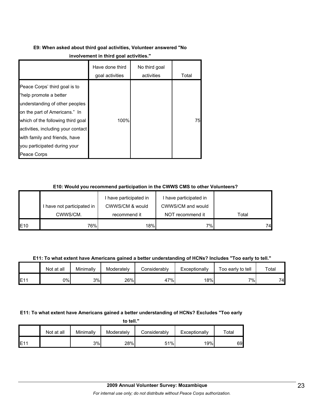# **E9: When asked about third goal activities, Volunteer answered "No**

|                                                                                                                                                                                                                                                                                       | Have done third<br>goal activities | No third goal<br>activities | Total |
|---------------------------------------------------------------------------------------------------------------------------------------------------------------------------------------------------------------------------------------------------------------------------------------|------------------------------------|-----------------------------|-------|
| Peace Corps' third goal is to<br>"help promote a better<br>understanding of other peoples<br>on the part of Americans." In<br>which of the following third goal<br>activities, including your contact<br>with family and friends, have<br>you participated during your<br>Peace Corps | 100%                               |                             | 75    |

## **E10: Would you recommend participation in the CWWS CMS to other Volunteers?**

|     |                            | I have participated in | I have participated in |       |
|-----|----------------------------|------------------------|------------------------|-------|
|     | I have not participated in | CWWS/CM & would        | CWWS/CM and would      |       |
|     | CWWS/CM.                   | recommend it           | NOT recommend it       | Total |
| E10 | 76%                        | 18%                    | 7%                     | 741   |

**E11: To what extent have Americans gained a better understanding of HCNs? Includes "Too early to tell."**

|     | Not at all | Minimally | Moderately | Considerably | Exceptionally | Too early to tell | Total |
|-----|------------|-----------|------------|--------------|---------------|-------------------|-------|
| E11 | 0%         | 3%        | 26%        | $7\%$<br>4,  | 18%           | 7%1               | 74.   |

## **E11: To what extent have Americans gained a better understanding of HCNs? Excludes "Too early**

**to tell."**

|     | Not at all | Minimally | Moderately | Considerably | Exceptionally | $\mathsf{Total}$ |
|-----|------------|-----------|------------|--------------|---------------|------------------|
| E11 |            | 3%        | 28%        | 51%          | 19%           | 69               |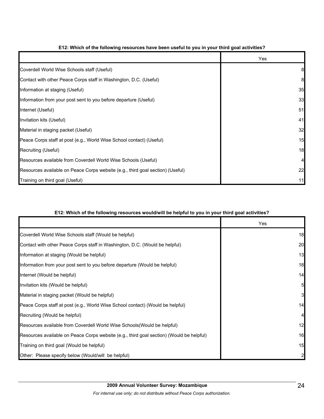|                                                                                | Yes |
|--------------------------------------------------------------------------------|-----|
| Coverdell World Wise Schools staff (Useful)                                    | 8   |
| Contact with other Peace Corps staff in Washington, D.C. (Useful)              | 8   |
| Information at staging (Useful)                                                | 35  |
| Information from your post sent to you before departure (Useful)               | 33  |
| Internet (Useful)                                                              | 51  |
| Invitation kits (Useful)                                                       | 41  |
| Material in staging packet (Useful)                                            | 32  |
| Peace Corps staff at post (e.g., World Wise School contact) (Useful)           | 15  |
| Recruiting (Useful)                                                            | 18  |
| Resources available from Coverdell World Wise Schools (Useful)                 |     |
| Resources available on Peace Corps website (e.g., third goal section) (Useful) | 22  |
| Training on third goal (Useful)                                                | 11  |

## **E12: Which of the following resources have been useful to you in your third goal activities?**

## **E12: Which of the following resources would/will be helpful to you in your third goal activities?**

|                                                                                          | Yes      |
|------------------------------------------------------------------------------------------|----------|
| Coverdell World Wise Schools staff (Would be helpful)                                    | 18       |
| Contact with other Peace Corps staff in Washington, D.C. (Would be helpful)              | 20       |
| Information at staging (Would be helpful)                                                | 13       |
| Information from your post sent to you before departure (Would be helpful)               | 18       |
| Internet (Would be helpful)                                                              | 14       |
| Invitation kits (Would be helpful)                                                       | 5        |
| Material in staging packet (Would be helpful)                                            | $3 \mid$ |
| Peace Corps staff at post (e.g., World Wise School contact) (Would be helpful)           | 14       |
| Recruiting (Would be helpful)                                                            | 4        |
| Resources available from Coverdell World Wise Schools (Would be helpful)                 | 12       |
| Resources available on Peace Corps website (e.g., third goal section) (Would be helpful) | 16       |
| Training on third goal (Would be helpful)                                                | 15       |
| Other: Please specify below (Would/will be helpful)                                      |          |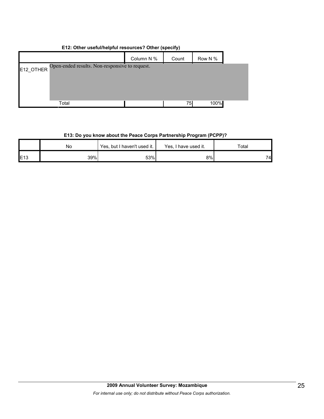| ETZ. Other usefullinelplul resources r Other (specify)      |            |       |         |  |  |  |
|-------------------------------------------------------------|------------|-------|---------|--|--|--|
|                                                             | Column N % | Count | Row N % |  |  |  |
| Open-ended results. Non-responsive to request.<br>E12 OTHER |            |       |         |  |  |  |
|                                                             |            |       |         |  |  |  |
|                                                             |            |       |         |  |  |  |
| Total                                                       |            | 75I   | 100%    |  |  |  |

## **E12: Other useful/helpful resources? Other (specify)**

## **E13: Do you know about the Peace Corps Partnership Program (PCPP)?**

|                 | No  | Yes, but I haven't used it. | Yes, I have used it. | Total |  |
|-----------------|-----|-----------------------------|----------------------|-------|--|
| E <sub>13</sub> | 39% | 53%                         | 8%                   | 74    |  |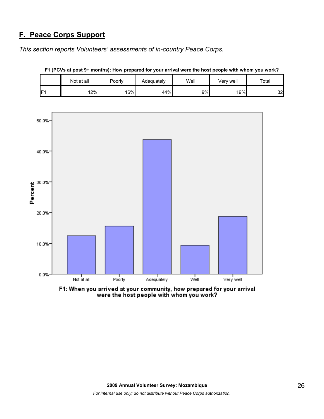## **F. Peace Corps Support**

*This section reports Volunteers' assessments of in-country Peace Corps.* 

|                 | Not at all | Poorly | Adequately | Well | Very well | Total |
|-----------------|------------|--------|------------|------|-----------|-------|
| IF <sub>1</sub> | 12%        | 16%    | 44%        | 9%   | 19%       | 32    |

**F1 (PCVs at post 9+ months): How prepared for your arrival were the host people with whom you work?**



F1: When you arrived at your community, how prepared for your arrival<br>were the host people with whom you work?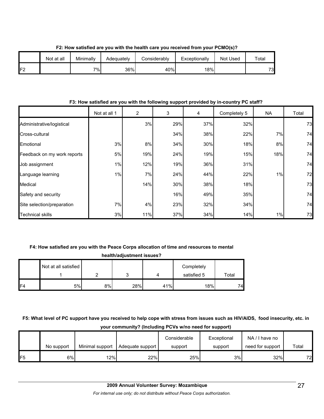|     | Not at all | Minimally | Adequately | Considerably | Exceptionally | Not Used | Total |
|-----|------------|-----------|------------|--------------|---------------|----------|-------|
| IF2 |            | $7\%$     | 36%        | 40%          | 18%           |          | 73.   |

**F2: How satisfied are you with the health care you received from your PCMO(s)?**

## **F3: How satisfied are you with the following support provided by in-country PC staff?**

|                             | Not at all 1 | 2   | 3   | 4   | Completely 5 | <b>NA</b> | Total |
|-----------------------------|--------------|-----|-----|-----|--------------|-----------|-------|
| Administrative/logistical   |              | 3%  | 29% | 37% | 32%          |           | 73    |
| Cross-cultural              |              |     | 34% | 38% | 22%          | 7%        | 74    |
| Emotional                   | 3%           | 8%  | 34% | 30% | 18%          | 8%        | 74    |
| Feedback on my work reports | 5%           | 19% | 24% | 19% | 15%          | 18%       | 74    |
| Job assignment              | 1%           | 12% | 19% | 36% | 31%          |           | 74    |
| Language learning           | 1%           | 7%  | 24% | 44% | 22%          | 1%        | 72    |
| Medical                     |              | 14% | 30% | 38% | 18%          |           | 73    |
| Safety and security         |              |     | 16% | 49% | 35%          |           | 74    |
| Site selection/preparation  | 7%           | 4%  | 23% | 32% | 34%          |           | 74    |
| <b>Technical skills</b>     | 3%           | 11% | 37% | 34% | 14%          | 1%        | 73    |

## **F4: How satisfied are you with the Peace Corps allocation of time and resources to mental**

| health/adjustment issues? |                      |    |     |     |             |       |  |
|---------------------------|----------------------|----|-----|-----|-------------|-------|--|
|                           | Not at all satisfied |    |     |     | Completely  |       |  |
|                           |                      |    |     |     | satisfied 5 | Total |  |
| F <sub>4</sub>            | 5%                   | 8% | 28% | 41% | 18%         | 74.   |  |

## **F5: What level of PC support have you received to help cope with stress from issues such as HIV/AIDS, food insecurity, etc. in your community? (Including PCVs w/no need for support)**

|                 | No support | Minimal support | Adequate support | Considerable<br>support | Exceptional<br>support | NA/I have no<br>need for support | Total |
|-----------------|------------|-----------------|------------------|-------------------------|------------------------|----------------------------------|-------|
| IF <sub>5</sub> | 6%         | 12%             | 22%              | 25%                     | 3%                     | 32%                              | 72    |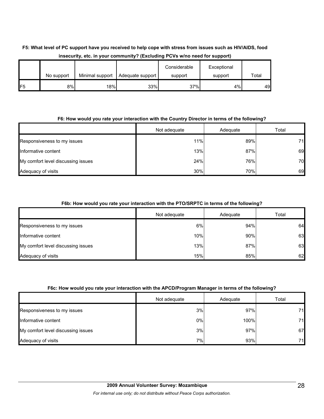## **F5: What level of PC support have you received to help cope with stress from issues such as HIV/AIDS, food insecurity, etc. in your community? (Excluding PCVs w/no need for support)**

|                 | No support | Minimal support | Adequate support | Considerable<br>support | Exceptional<br>support | Total |
|-----------------|------------|-----------------|------------------|-------------------------|------------------------|-------|
| IF <sub>5</sub> | 8%         | 18%             | 33%              | 37%                     | 4%                     | 49    |

## **F6: How would you rate your interaction with the Country Director in terms of the following?**

|                                    | Not adequate | Adequate | Total |
|------------------------------------|--------------|----------|-------|
| Responsiveness to my issues        | 11%          | 89%      | 71I   |
| Informative content                | 13%          | 87%      | 69    |
| My comfort level discussing issues | 24%          | 76%      | 70    |
| Adequacy of visits                 | 30%          | 70%      | 69    |

## **F6b: How would you rate your interaction with the PTO/SRPTC in terms of the following?**

|                                    | Not adequate | Adequate | Total |
|------------------------------------|--------------|----------|-------|
| Responsiveness to my issues        | 6%           | 94%      | 64    |
| Informative content                | 10%          | 90%      | 63    |
| My comfort level discussing issues | 13%          | 87%      | 63    |
| Adequacy of visits                 | 15%          | 85%      | 62    |

## **F6c: How would you rate your interaction with the APCD/Program Manager in terms of the following?**

|                                    | Not adequate | Adequate | Total |
|------------------------------------|--------------|----------|-------|
| Responsiveness to my issues        | 3%           | 97%      | 71.   |
| Informative content                | 0%           | 100%     | 71    |
| My comfort level discussing issues | 3%           | 97%      | 67    |
| Adequacy of visits                 | 7%           | 93%      | 71    |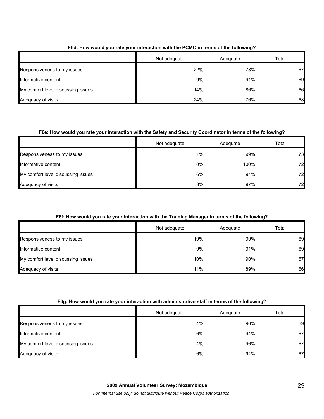|                                    | Not adequate | Adequate | Total |
|------------------------------------|--------------|----------|-------|
| Responsiveness to my issues        | 22%          | 78%      | 67    |
| Informative content                | 9%           | 91%      | 69    |
| My comfort level discussing issues | 14%          | 86%      | 66    |
| Adequacy of visits                 | 24%          | 76%      | 68    |

## **F6d: How would you rate your interaction with the PCMO in terms of the following?**

## **F6e: How would you rate your interaction with the Safety and Security Coordinator in terms of the following?**

|                                    | Not adequate | Adequate | Total |
|------------------------------------|--------------|----------|-------|
| Responsiveness to my issues        | 1%           | 99%      | 73    |
| Informative content                | 0%           | 100%     | 72    |
| My comfort level discussing issues | 6%           | 94%      | 72    |
| Adequacy of visits                 | 3%           | 97%      | 72    |

## **F6f: How would you rate your interaction with the Training Manager in terms of the following?**

|                                    | Not adequate | Adequate | Total |
|------------------------------------|--------------|----------|-------|
| Responsiveness to my issues        | 10%          | 90%      | 69    |
| Informative content                | 9%           | 91%      | 69    |
| My comfort level discussing issues | 10%          | 90%      | 67    |
| Adequacy of visits                 | 11%          | 89%      | 66    |

## **F6g: How would you rate your interaction with administrative staff in terms of the following?**

|                                    | Not adequate | Adequate | Total |
|------------------------------------|--------------|----------|-------|
| Responsiveness to my issues        | 4%           | 96%      | 69    |
| Informative content                | 6%           | 94%      | 67    |
| My comfort level discussing issues | 4%           | 96%      | 67    |
| Adequacy of visits                 | 6%           | 94%      | 67    |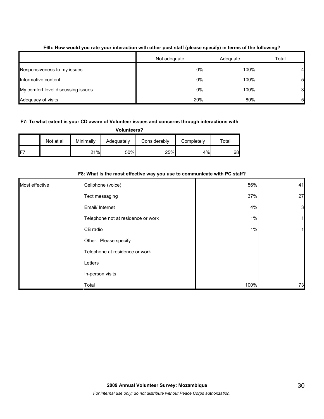|                                    | Not adequate | Adequate | Total          |
|------------------------------------|--------------|----------|----------------|
| Responsiveness to my issues        | 0%           | 100%     | Δ.             |
| Informative content                | 0%           | 100%     | 51             |
| My comfort level discussing issues | 0%           | 100%     | 3 <sup>l</sup> |
| Adequacy of visits                 | 20%          | 80%      | 51             |

## **F6h: How would you rate your interaction with other post staff (please specify) in terms of the following?**

### **F7: To what extent is your CD aware of Volunteer issues and concerns through interactions with**

| <b>Volunteers?</b> |  |
|--------------------|--|
|                    |  |

|                 | Not at all | Minimally | Adequately | Considerably | Completely | $\tau$ otal |
|-----------------|------------|-----------|------------|--------------|------------|-------------|
| IF <sup>-</sup> |            | 21%       | 50%        | 25%          | 4%         | 68          |

| For Write is the most enective way you use to communicate with FC star r |                                    |      |              |  |  |  |  |  |
|--------------------------------------------------------------------------|------------------------------------|------|--------------|--|--|--|--|--|
| Most effective                                                           | Cellphone (voice)                  | 56%  | 41           |  |  |  |  |  |
|                                                                          | Text messaging                     | 37%  | 27           |  |  |  |  |  |
|                                                                          | Email/ Internet                    | 4%   | $\mathbf{3}$ |  |  |  |  |  |
|                                                                          | Telephone not at residence or work | 1%   |              |  |  |  |  |  |
|                                                                          | CB radio                           | 1%   |              |  |  |  |  |  |
|                                                                          | Other. Please specify              |      |              |  |  |  |  |  |
|                                                                          | Telephone at residence or work     |      |              |  |  |  |  |  |
|                                                                          | Letters                            |      |              |  |  |  |  |  |
|                                                                          | In-person visits                   |      |              |  |  |  |  |  |
|                                                                          | Total                              | 100% | 73           |  |  |  |  |  |

## **F8: What is the most effective way you use to communicate with PC staff?**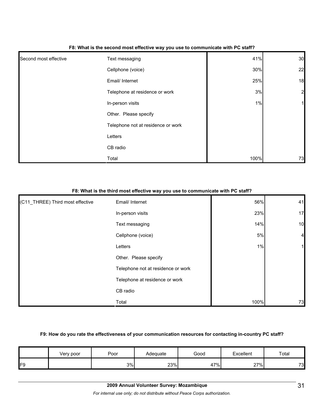| Second most effective | Text messaging                     | 41%  | 30               |
|-----------------------|------------------------------------|------|------------------|
|                       | Cellphone (voice)                  | 30%  | 22               |
|                       | Email/ Internet                    | 25%  | 18               |
|                       | Telephone at residence or work     | 3%   | $2 \overline{)}$ |
|                       | In-person visits                   | 1%   | 1                |
|                       | Other. Please specify              |      |                  |
|                       | Telephone not at residence or work |      |                  |
|                       | Letters                            |      |                  |
|                       | CB radio                           |      |                  |
|                       | Total                              | 100% | 73               |

#### **F8: What is the second most effective way you use to communicate with PC staff?**

#### **F8: What is the third most effective way you use to communicate with PC staff?**

| (C11_THREE) Third most effective | Email/ Internet                    | 56%  | 41             |
|----------------------------------|------------------------------------|------|----------------|
|                                  | In-person visits                   | 23%  | 17             |
|                                  | Text messaging                     | 14%  | 10             |
|                                  | Cellphone (voice)                  | 5%   | $\overline{4}$ |
|                                  | Letters                            | 1%   |                |
|                                  | Other. Please specify              |      |                |
|                                  | Telephone not at residence or work |      |                |
|                                  | Telephone at residence or work     |      |                |
|                                  | CB radio                           |      |                |
|                                  | Total                              | 100% | 73             |

#### **F9: How do you rate the effectiveness of your communication resources for contacting in-country PC staff?**

|    | Very poor | Poor | Adequate | Good | Excellent         | Total |
|----|-----------|------|----------|------|-------------------|-------|
| FΟ |           | 3%   | 23%      | 47%  | 27%<br>$\epsilon$ | 73    |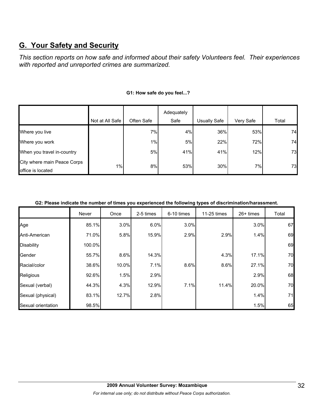# **G. Your Safety and Security**

*This section reports on how safe and informed about their safety Volunteers feel. Their experiences with reported and unreported crimes are summarized.* 

|                                                  |                 |            | Adequately |                     |           |       |
|--------------------------------------------------|-----------------|------------|------------|---------------------|-----------|-------|
|                                                  | Not at All Safe | Often Safe | Safe       | <b>Usually Safe</b> | Very Safe | Total |
| Where you live                                   |                 | 7%         | 4%         | 36%                 | 53%       | 74    |
| Where you work                                   |                 | $1\%$      | 5%         | 22%                 | 72%       | 74    |
| When you travel in-country                       |                 | 5%         | 41%        | 41%                 | 12%       | 73    |
| City where main Peace Corps<br>office is located | 1%              | 8%         | 53%        | 30%                 | 7%        | 73    |

## **G1: How safe do you feel...?**

#### **G2: Please indicate the number of times you experienced the following types of discrimination/harassment.**

|                    | Never  | Once  | 2-5 times | 6-10 times | 11-25 times | $26+$ times | Total |
|--------------------|--------|-------|-----------|------------|-------------|-------------|-------|
| Age                | 85.1%  | 3.0%  | 6.0%      | 3.0%       |             | 3.0%        | 67    |
| Anti-American      | 71.0%  | 5.8%  | 15.9%     | 2.9%       | 2.9%        | 1.4%        | 69    |
| <b>Disability</b>  | 100.0% |       |           |            |             |             | 69    |
| Gender             | 55.7%  | 8.6%  | 14.3%     |            | 4.3%        | 17.1%       | 70    |
| Racial/color       | 38.6%  | 10.0% | 7.1%      | 8.6%       | 8.6%        | 27.1%       | 70    |
| Religious          | 92.6%  | 1.5%  | 2.9%      |            |             | 2.9%        | 68    |
| Sexual (verbal)    | 44.3%  | 4.3%  | 12.9%     | 7.1%       | 11.4%       | 20.0%       | 70    |
| Sexual (physical)  | 83.1%  | 12.7% | 2.8%      |            |             | 1.4%        | 71    |
| Sexual orientation | 98.5%  |       |           |            |             | 1.5%        | 65    |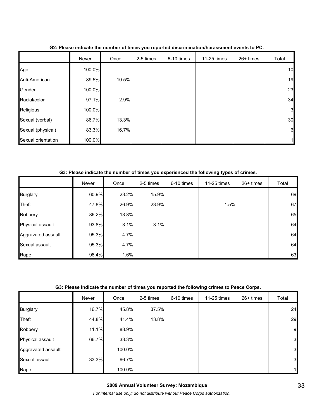|                    | Never  | Once  | 2-5 times | 6-10 times | 11-25 times | 26+ times | Total        |
|--------------------|--------|-------|-----------|------------|-------------|-----------|--------------|
| Age                | 100.0% |       |           |            |             |           | 10           |
| Anti-American      | 89.5%  | 10.5% |           |            |             |           | 19           |
| Gender             | 100.0% |       |           |            |             |           | 23           |
| Racial/color       | 97.1%  | 2.9%  |           |            |             |           | 34           |
| Religious          | 100.0% |       |           |            |             |           | 3            |
| Sexual (verbal)    | 86.7%  | 13.3% |           |            |             |           | 30           |
| Sexual (physical)  | 83.3%  | 16.7% |           |            |             |           | 6            |
| Sexual orientation | 100.0% |       |           |            |             |           | $\mathbf{1}$ |

**G2: Please indicate the number of times you reported discrimination/harassment events to PC.**

**G3: Please indicate the number of times you experienced the following types of crimes.**

|                    | Never | Once  | 2-5 times | 6-10 times | 11-25 times | $26+$ times | Total |
|--------------------|-------|-------|-----------|------------|-------------|-------------|-------|
| <b>Burglary</b>    | 60.9% | 23.2% | 15.9%     |            |             |             | 69    |
| Theft              | 47.8% | 26.9% | 23.9%     |            | 1.5%        |             | 67    |
| Robbery            | 86.2% | 13.8% |           |            |             |             | 65    |
| Physical assault   | 93.8% | 3.1%  | 3.1%      |            |             |             | 64    |
| Aggravated assault | 95.3% | 4.7%  |           |            |             |             | 64    |
| Sexual assault     | 95.3% | 4.7%  |           |            |             |             | 64    |
| Rape               | 98.4% | 1.6%  |           |            |             |             | 63    |

## **G3: Please indicate the number of times you reported the following crimes to Peace Corps.**

|                    | Never | Once   | 2-5 times | 6-10 times | 11-25 times | 26+ times | Total |
|--------------------|-------|--------|-----------|------------|-------------|-----------|-------|
| <b>Burglary</b>    | 16.7% | 45.8%  | 37.5%     |            |             |           | 24    |
| Theft              | 44.8% | 41.4%  | 13.8%     |            |             |           | 29    |
| Robbery            | 11.1% | 88.9%  |           |            |             |           | 9     |
| Physical assault   | 66.7% | 33.3%  |           |            |             |           | 3     |
| Aggravated assault |       | 100.0% |           |            |             |           | 3     |
| Sexual assault     | 33.3% | 66.7%  |           |            |             |           | 3     |
| Rape               |       | 100.0% |           |            |             |           | 11    |

*For internal use only; do not distribute without Peace Corps authorization.*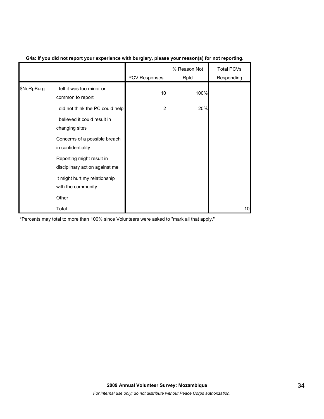|            |                                                             | PCV Responses | % Reason Not<br>Rptd | <b>Total PCVs</b><br>Responding |
|------------|-------------------------------------------------------------|---------------|----------------------|---------------------------------|
| \$NoRpBurg | I felt it was too minor or<br>common to report              | 10            | 100%                 |                                 |
|            | I did not think the PC could help                           | 2             | 20%                  |                                 |
|            | I believed it could result in<br>changing sites             |               |                      |                                 |
|            | Concerns of a possible breach<br>in confidentiality         |               |                      |                                 |
|            | Reporting might result in<br>disciplinary action against me |               |                      |                                 |
|            | It might hurt my relationship<br>with the community         |               |                      |                                 |
|            | Other                                                       |               |                      |                                 |
|            | Total                                                       |               |                      | 10                              |

## **G4a: If you did not report your experience with burglary, please your reason(s) for not reporting.**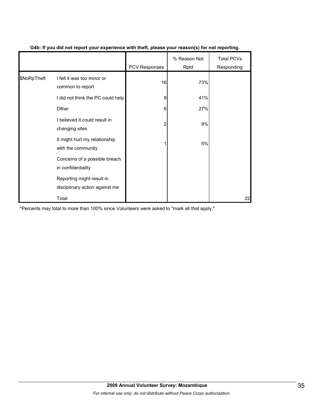|             |                                                             | PCV Responses | % Reason Not<br>Rptd | <b>Total PCVs</b><br>Responding |
|-------------|-------------------------------------------------------------|---------------|----------------------|---------------------------------|
| \$NoRpTheft | I felt it was too minor or<br>common to report              | 16            | 73%                  |                                 |
|             | I did not think the PC could help                           | 9             | 41%                  |                                 |
|             | Other                                                       | 6             | 27%                  |                                 |
|             | I believed it could result in<br>changing sites             | 2             | 9%                   |                                 |
|             | It might hurt my relationship<br>with the community         |               | 5%                   |                                 |
|             | Concerns of a possible breach<br>in confidentiality         |               |                      |                                 |
|             | Reporting might result in<br>disciplinary action against me |               |                      |                                 |
|             | Total                                                       |               |                      | 22                              |

## **G4b: If you did not report your experience with theft, please your reason(s) for not reporting.**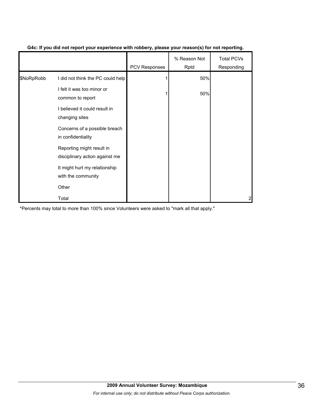|            |                                                             | <b>PCV Responses</b> | % Reason Not<br>Rptd | <b>Total PCVs</b><br>Responding |
|------------|-------------------------------------------------------------|----------------------|----------------------|---------------------------------|
| \$NoRpRobb | I did not think the PC could help                           |                      | 50%                  |                                 |
|            | I felt it was too minor or<br>common to report              |                      | 50%                  |                                 |
|            | I believed it could result in<br>changing sites             |                      |                      |                                 |
|            | Concerns of a possible breach<br>in confidentiality         |                      |                      |                                 |
|            | Reporting might result in<br>disciplinary action against me |                      |                      |                                 |
|            | It might hurt my relationship<br>with the community         |                      |                      |                                 |
|            | Other                                                       |                      |                      |                                 |
|            | Total                                                       |                      |                      | 2                               |

## **G4c: If you did not report your experience with robbery, please your reason(s) for not reporting.**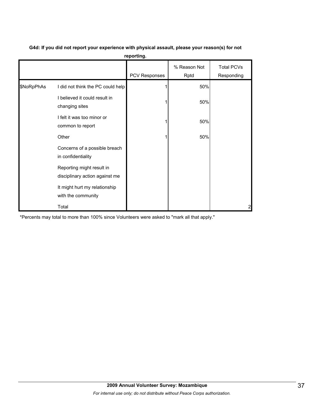|            |                                                             | PCV Responses | % Reason Not<br>Rptd | <b>Total PCVs</b><br>Responding |
|------------|-------------------------------------------------------------|---------------|----------------------|---------------------------------|
| \$NoRpPhAs | I did not think the PC could help                           |               | 50%                  |                                 |
|            | I believed it could result in<br>changing sites             |               | 50%                  |                                 |
|            | I felt it was too minor or<br>common to report              |               | 50%                  |                                 |
|            | Other                                                       |               | 50%                  |                                 |
|            | Concerns of a possible breach<br>in confidentiality         |               |                      |                                 |
|            | Reporting might result in<br>disciplinary action against me |               |                      |                                 |
|            | It might hurt my relationship<br>with the community         |               |                      |                                 |
|            | Total                                                       |               |                      | 2                               |

**G4d: If you did not report your experience with physical assault, please your reason(s) for not reporting.**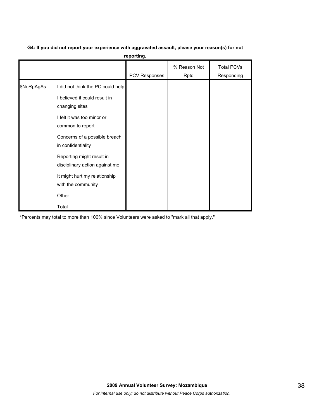# **G4: If you did not report your experience with aggravated assault, please your reason(s) for not**

**reporting.**

|            |                                                                    | PCV Responses | % Reason Not<br>Rptd | <b>Total PCVs</b><br>Responding |
|------------|--------------------------------------------------------------------|---------------|----------------------|---------------------------------|
| \$NoRpAgAs | I did not think the PC could help<br>I believed it could result in |               |                      |                                 |
|            | changing sites<br>I felt it was too minor or<br>common to report   |               |                      |                                 |
|            | Concerns of a possible breach<br>in confidentiality                |               |                      |                                 |
|            | Reporting might result in<br>disciplinary action against me        |               |                      |                                 |
|            | It might hurt my relationship<br>with the community                |               |                      |                                 |
|            | Other                                                              |               |                      |                                 |
|            | Total                                                              |               |                      |                                 |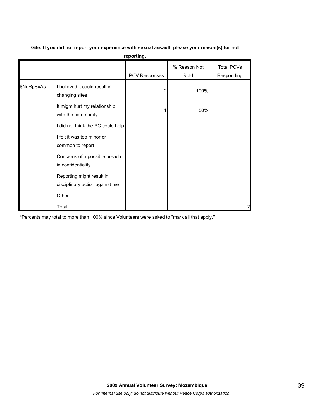|            |                                                             | reporting.    |                      |                                 |
|------------|-------------------------------------------------------------|---------------|----------------------|---------------------------------|
|            |                                                             | PCV Responses | % Reason Not<br>Rptd | <b>Total PCVs</b><br>Responding |
| \$NoRpSxAs | I believed it could result in<br>changing sites             | 2             | 100%                 |                                 |
|            | It might hurt my relationship<br>with the community         |               | 50%                  |                                 |
|            | I did not think the PC could help                           |               |                      |                                 |
|            | I felt it was too minor or<br>common to report              |               |                      |                                 |
|            | Concerns of a possible breach<br>in confidentiality         |               |                      |                                 |
|            | Reporting might result in<br>disciplinary action against me |               |                      |                                 |
|            | Other                                                       |               |                      |                                 |
|            | Total                                                       |               |                      | 2                               |

## **G4e: If you did not report your experience with sexual assault, please your reason(s) for not**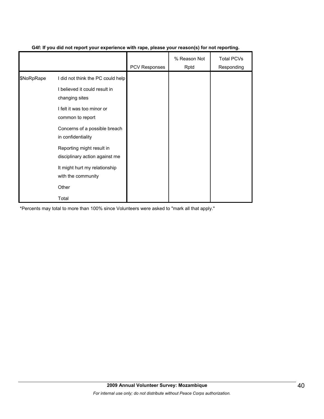|            |                                                             | <b>PCV Responses</b> | % Reason Not<br>Rptd | <b>Total PCVs</b><br>Responding |
|------------|-------------------------------------------------------------|----------------------|----------------------|---------------------------------|
| \$NoRpRape | I did not think the PC could help                           |                      |                      |                                 |
|            | I believed it could result in<br>changing sites             |                      |                      |                                 |
|            | I felt it was too minor or<br>common to report              |                      |                      |                                 |
|            | Concerns of a possible breach<br>in confidentiality         |                      |                      |                                 |
|            | Reporting might result in<br>disciplinary action against me |                      |                      |                                 |
|            | It might hurt my relationship<br>with the community         |                      |                      |                                 |
|            | Other                                                       |                      |                      |                                 |
|            | Total                                                       |                      |                      |                                 |

## **G4f: If you did not report your experience with rape, please your reason(s) for not reporting.**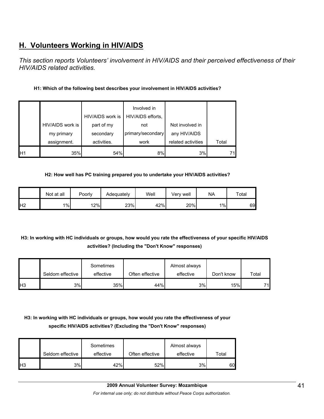# **H. Volunteers Working in HIV/AIDS**

*This section reports Volunteers' involvement in HIV/AIDS and their perceived effectiveness of their HIV/AIDS related activities.* 

## **H1: Which of the following best describes your involvement in HIV/AIDS activities?**

|    |                  |                  | Involved in       |                    |       |
|----|------------------|------------------|-------------------|--------------------|-------|
|    |                  | HIV/AIDS work is | HIV/AIDS efforts, |                    |       |
|    | HIV/AIDS work is | part of my       | not               | Not involved in    |       |
|    | my primary       | secondary        | primary/secondary | any HIV/AIDS       |       |
|    | assignment.      | activities.      | work              | related activities | Total |
| H1 | 35%              | 54%              | 8%                | 3%                 | 71    |

## **H2: How well has PC training prepared you to undertake your HIV/AIDS activities?**

|                | Not at all | Poorly | Adequately | Well | Verv well | <b>NA</b> | Total |
|----------------|------------|--------|------------|------|-----------|-----------|-------|
| H <sub>2</sub> | 1%         | 12%    | 23%        | 42%  | 20%       | $1\%$     | 69    |

## **H3: In working with HC individuals or groups, how would you rate the effectiveness of your specific HIV/AIDS activities? (Including the "Don't Know" responses)**

|     | Seldom effective | Sometimes<br>effective | Often effective | Almost always<br>effective | Don't know | Total |
|-----|------------------|------------------------|-----------------|----------------------------|------------|-------|
| IH3 | 3%               | 35%                    | 44%             | 3%                         | 15%        | 71    |

## **H3: In working with HC individuals or groups, how would you rate the effectiveness of your specific HIV/AIDS activities? (Excluding the "Don't Know" responses)**

|                | Seldom effective | Sometimes<br>effective | Often effective | Almost always<br>effective | Total |
|----------------|------------------|------------------------|-----------------|----------------------------|-------|
| H <sub>3</sub> | 3%               | 42%                    | 52%             | 3%                         | 60    |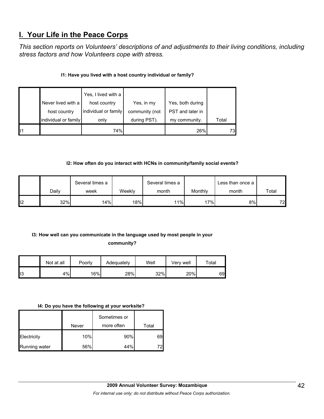## **I. Your Life in the Peace Corps**

*This section reports on Volunteers' descriptions of and adjustments to their living conditions, including stress factors and how Volunteers cope with stress.* 

## **I1: Have you lived with a host country individual or family?**

|     | Never lived with a<br>host country | Yes, I lived with a<br>host country<br>individual or family | Yes, in my<br>community (not | Yes, both during<br>PST and later in |       |
|-----|------------------------------------|-------------------------------------------------------------|------------------------------|--------------------------------------|-------|
|     | individual or family               | only                                                        | during PST).                 | my community.                        | Total |
| II1 |                                    | 74%                                                         |                              | 26%                                  | 73    |

## **I2: How often do you interact with HCNs in community/family social events?**

|                 |       | Several times a |        | Several times a |         | Less than once a |                 |
|-----------------|-------|-----------------|--------|-----------------|---------|------------------|-----------------|
|                 | Daily | week            | Weekly | month           | Monthly | month            | Total           |
| I <sub>12</sub> | 32%   | 14%             | 18%    | 11%             | 17%     | 8%               | 72 <sub>l</sub> |

## **I3: How well can you communicate in the language used by most people in your**

**community?** 

|                 | Not at all | Poorly | Adequately | Well | Verv well | Total |
|-----------------|------------|--------|------------|------|-----------|-------|
| II <sub>3</sub> | 4%         | 16%    | 28%        | 32%  | 20%       | 69    |

#### **I4: Do you have the following at your worksite?**

|               |       | Sometimes or |       |
|---------------|-------|--------------|-------|
|               | Never | more often   | Total |
| Electricity   | 10%   | 90%          | 69    |
| Running water | 56%   | 44%          |       |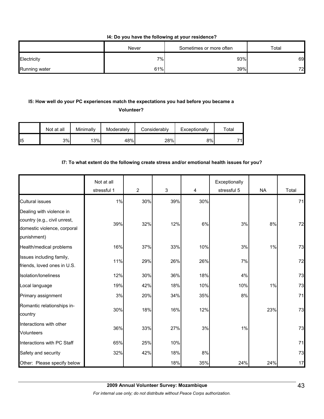**I4: Do you have the following at your residence?**

|               | Never | Sometimes or more often | $\tau$ otal |
|---------------|-------|-------------------------|-------------|
| Electricity   | 7%    | 93%                     | 69          |
| Running water | 61%   | 39%                     | 72          |

## **I5: How well do your PC experiences match the expectations you had before you became a**

**Volunteer?** 

|                 | Not at all | Minimally | Moderately | Considerably | Exceptionally | $\tau$ otal |
|-----------------|------------|-----------|------------|--------------|---------------|-------------|
| II <sub>5</sub> | 3%         | 13%       | 48%        | 28%          | 8%l           | 74          |

## **I7: To what extent do the following create stress and/or emotional health issues for you?**

|                                                                                                        | Not at all<br>stressful 1 | $\overline{2}$ | $\mathfrak{S}$ | 4     | Exceptionally<br>stressful 5 | <b>NA</b> | Total |
|--------------------------------------------------------------------------------------------------------|---------------------------|----------------|----------------|-------|------------------------------|-----------|-------|
| <b>Cultural issues</b>                                                                                 | 1%                        | 30%            | 39%            | 30%   |                              |           | 71    |
| Dealing with violence in<br>country (e.g., civil unrest,<br>domestic violence, corporal<br>punishment) | 39%                       | 32%            | 12%            | 6%    | 3%                           | 8%        | 72    |
| Health/medical problems                                                                                | 16%                       | 37%            | 33%            | 10%   | 3%                           | 1%        | 73    |
| Issues including family,<br>friends, loved ones in U.S.                                                | 11%                       | 29%            | 26%            | 26%   | 7%                           |           | 72    |
| Isolation/loneliness                                                                                   | 12%                       | 30%            | 36%            | 18%   | 4%                           |           | 73    |
| Local language                                                                                         | 19%                       | 42%            | 18%            | 10%   | 10%                          | 1%        | 73    |
| Primary assignment                                                                                     | 3%                        | 20%            | 34%            | 35%   | 8%                           |           | 71    |
| Romantic relationships in-<br>country                                                                  | 30%                       | 18%            | 16%            | 12%   |                              | 23%       | 73    |
| Interactions with other<br><b>Volunteers</b>                                                           | 36%                       | 33%            | 27%            | 3%    | 1%                           |           | 73    |
| Interactions with PC Staff                                                                             | 65%                       | 25%            | 10%            |       |                              |           | 71    |
| Safety and security                                                                                    | 32%                       | 42%            | 18%            | $8\%$ |                              |           | 73    |
| Other: Please specify below                                                                            |                           |                | 18%            | 35%   | 24%                          | 24%       | 17    |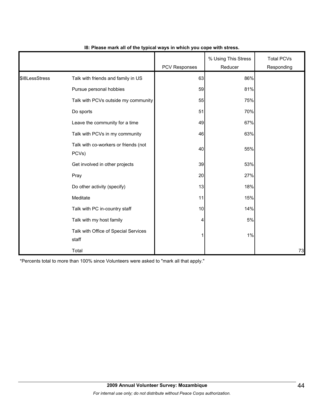|                |                                               | <b>PCV Responses</b> | % Using This Stress<br>Reducer | <b>Total PCVs</b><br>Responding |
|----------------|-----------------------------------------------|----------------------|--------------------------------|---------------------------------|
| \$18LessStress | Talk with friends and family in US            | 63                   | 86%                            |                                 |
|                | Pursue personal hobbies                       | 59                   | 81%                            |                                 |
|                | Talk with PCVs outside my community           | 55                   | 75%                            |                                 |
|                | Do sports                                     | 51                   | 70%                            |                                 |
|                | Leave the community for a time                | 49                   | 67%                            |                                 |
|                | Talk with PCVs in my community                | 46                   | 63%                            |                                 |
|                | Talk with co-workers or friends (not<br>PCVs) | 40                   | 55%                            |                                 |
|                | Get involved in other projects                | 39                   | 53%                            |                                 |
|                | Pray                                          | 20                   | 27%                            |                                 |
|                | Do other activity (specify)                   | 13                   | 18%                            |                                 |
|                | Meditate                                      | 11                   | 15%                            |                                 |
|                | Talk with PC in-country staff                 | 10                   | 14%                            |                                 |
|                | Talk with my host family                      | 4                    | 5%                             |                                 |
|                | Talk with Office of Special Services<br>staff |                      | 1%                             |                                 |
|                | Total                                         |                      |                                | 73                              |

## **I8: Please mark all of the typical ways in which you cope with stress.**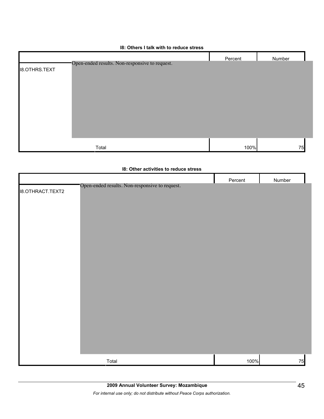### **I8: Others I talk with to reduce stress**

|                      |                                                | Percent | Number |
|----------------------|------------------------------------------------|---------|--------|
| <b>I8.OTHRS.TEXT</b> | Open-ended results. Non-responsive to request. |         |        |
|                      |                                                |         |        |
|                      |                                                |         |        |
|                      |                                                |         |        |
|                      |                                                |         |        |
|                      |                                                |         |        |
|                      |                                                |         |        |
|                      |                                                |         |        |
|                      |                                                |         |        |
|                      | Total                                          | 100%    | 75     |

|                         | 18: Other activities to reduce stress          |         |        |
|-------------------------|------------------------------------------------|---------|--------|
|                         |                                                | Percent | Number |
| <b>I8.OTHRACT.TEXT2</b> | Open-ended results. Non-responsive to request. |         |        |
|                         | Total                                          | 100%    | 75     |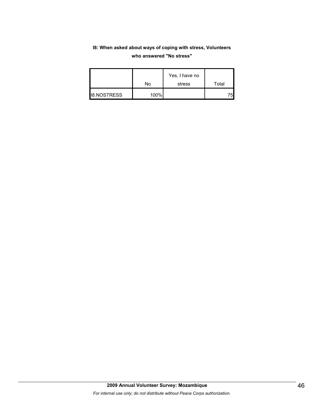## **I8: When asked about ways of coping with stress, Volunteers who answered "No stress"**

|                    | No   | Yes, I have no<br>stress | Total |
|--------------------|------|--------------------------|-------|
| <b>I8.NOSTRESS</b> | 100% |                          | フらい   |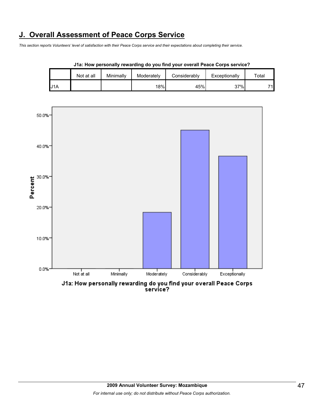# **J. Overall Assessment of Peace Corps Service**

*This section reports Volunteers' level of satisfaction with their Peace Corps service and their expectations about completing their service.* 

|     | <b>UTA: HOW pulsonally Tuwaruniy ao you mila your ovuran't cauc oorps survivu</b> : |           |            |              |               |       |  |  |  |
|-----|-------------------------------------------------------------------------------------|-----------|------------|--------------|---------------|-------|--|--|--|
|     | Not at all                                                                          | Minimally | Moderately | Considerably | Exceptionally | ™otal |  |  |  |
| U1A |                                                                                     |           | 18%        | 45%          | 37%           | 74    |  |  |  |





J1a: How personally rewarding do you find your overall Peace Corps service?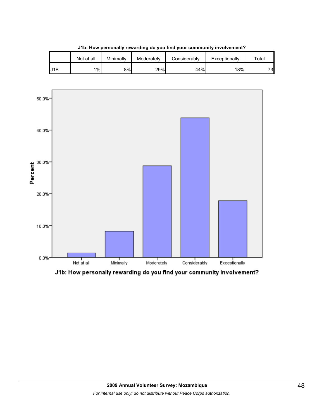|     | Not at all | Minimally | Moderately | Considerablv | Exceptionally | $\tau$ otal |
|-----|------------|-----------|------------|--------------|---------------|-------------|
| J1B | 1%         | 8%        | 29%        | 44%          | 18%           | 73          |

**J1b: How personally rewarding do you find your community involvement?**



J1b: How personally rewarding do you find your community involvement?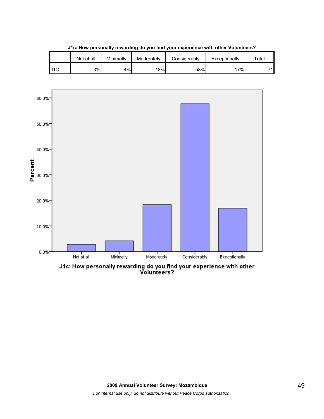|     | Not at all | Minimallv | Moderately | Considerablv | Exceptionally | $\tau$ otal |
|-----|------------|-----------|------------|--------------|---------------|-------------|
| J1C | 3%         | 4%        | 18%        | 58%          | $7\%$         | 74          |

**J1c: How personally rewarding do you find your experience with other Volunteers?**



J1c: How personally rewarding do you find your experience with other<br>Volunteers?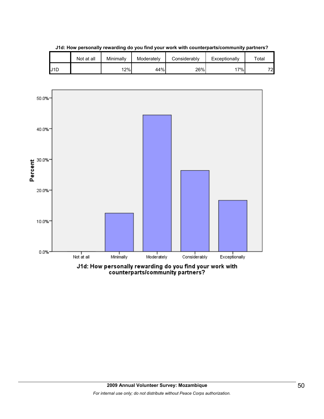|     | Not at all | Minimally | Moderately | Considerably | Exceptionally | $\tau$ otal |
|-----|------------|-----------|------------|--------------|---------------|-------------|
| J1D |            | 12%       | 44%        | 26%          | 7%            | 72          |

**J1d: How personally rewarding do you find your work with counterparts/community partners?**

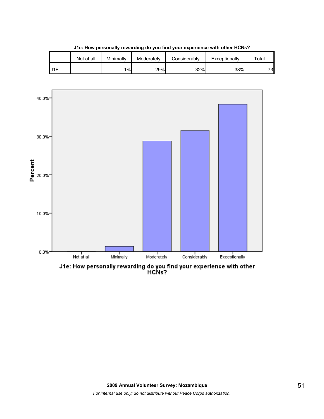

**J1e: How personally rewarding do you find your experience with other HCNs?**

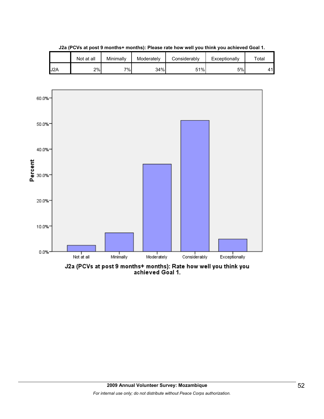

**J2a (PCVs at post 9 months+ months): Please rate how well you think you achieved Goal 1.**

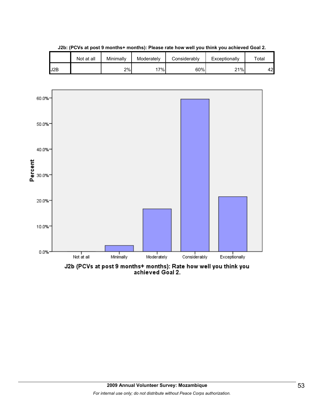

**J2b: (PCVs at post 9 months+ months): Please rate how well you think you achieved Goal 2.**

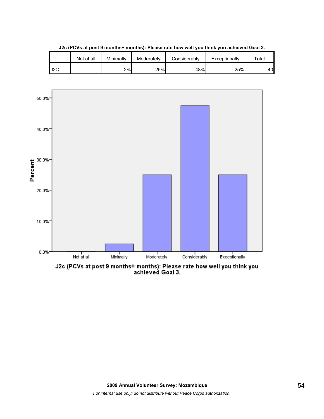

**J2c (PCVs at post 9 months+ months): Please rate how well you think you achieved Goal 3.**



J2c (PCVs at post 9 months+ months): Please rate how well you think you<br>achieved Goal 3.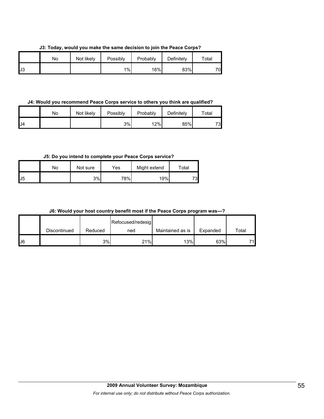**J3: Today, would you make the same decision to join the Peace Corps?**

|    | No | Not likely | Possibly | Probably | Definitely | $\tau$ otal |
|----|----|------------|----------|----------|------------|-------------|
| J3 |    |            | $1\%$    | 16%      | 83%        | 70          |

**J4: Would you recommend Peace Corps service to others you think are qualified?**

|     | No | Not likely | Possibly | Probably | Definitely | $\tau$ otal |
|-----|----|------------|----------|----------|------------|-------------|
| IJ4 |    |            | 3%       | 12%      | 85%        | 73          |

**J5: Do you intend to complete your Peace Corps service?**

|              | No | Not sure | Yes | Might extend | ⊤otal |
|--------------|----|----------|-----|--------------|-------|
| $\mathsf{L}$ |    | 3%       | 78% | 19%          | 73    |

|  |  |  |  |  | J6: Would your host country benefit most if the Peace Corps program was---? |  |
|--|--|--|--|--|-----------------------------------------------------------------------------|--|
|--|--|--|--|--|-----------------------------------------------------------------------------|--|

|    |              |         | Refocused/redesig |                  |          |       |
|----|--------------|---------|-------------------|------------------|----------|-------|
|    | Discontinued | Reduced | ned               | Maintained as is | Expanded | Total |
| J6 |              | 3%      | 21%               | 13%              | 63%      | 71.   |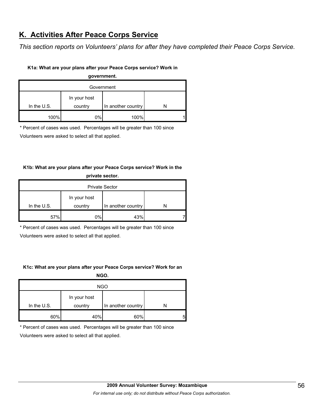# **K. Activities After Peace Corps Service**

*This section reports on Volunteers' plans for after they have completed their Peace Corps Service.* 

## **K1a: What are your plans after your Peace Corps service? Work in**

**government.**

| Government    |                         |                    |  |  |  |
|---------------|-------------------------|--------------------|--|--|--|
| In the $U.S.$ | In your host<br>country | In another country |  |  |  |
| 100%          | 0%                      | 100%               |  |  |  |

\* Percent of cases was used. Percentages will be greater than 100 since

Volunteers were asked to select all that applied.

## **K1b: What are your plans after your Peace Corps service? Work in the private sector.**

| <b>Private Sector</b> |                         |                    |  |  |  |
|-----------------------|-------------------------|--------------------|--|--|--|
| In the $U.S.$         | In your host<br>country | In another country |  |  |  |
|                       |                         |                    |  |  |  |
| 57%                   | 0%                      | 43%                |  |  |  |

\* Percent of cases was used. Percentages will be greater than 100 since

Volunteers were asked to select all that applied.

## **K1c: What are your plans after your Peace Corps service? Work for an**

**NGO.**

| <b>NGO</b>  |                         |                    |   |  |  |
|-------------|-------------------------|--------------------|---|--|--|
| In the U.S. | In your host<br>country | In another country |   |  |  |
| 60%         | 40%                     | 60%                | 5 |  |  |

\* Percent of cases was used. Percentages will be greater than 100 since

Volunteers were asked to select all that applied.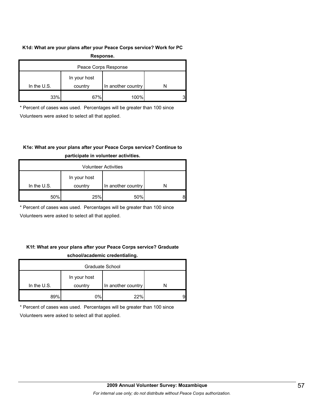### **K1d: What are your plans after your Peace Corps service? Work for PC**

| Response.            |              |                    |   |  |  |
|----------------------|--------------|--------------------|---|--|--|
| Peace Corps Response |              |                    |   |  |  |
|                      | In your host |                    |   |  |  |
| In the $U.S.$        | country      | In another country |   |  |  |
| 33%                  | 67%          | 100%               | 3 |  |  |

\* Percent of cases was used. Percentages will be greater than 100 since

Volunteers were asked to select all that applied.

## **K1e: What are your plans after your Peace Corps service? Continue to**

| <b>Volunteer Activities</b> |              |                    |  |  |  |
|-----------------------------|--------------|--------------------|--|--|--|
|                             | In your host |                    |  |  |  |
| In the $U.S.$               | country      | In another country |  |  |  |
| 50%                         | 25%          | 50%                |  |  |  |

## **participate in volunteer activities.**

\* Percent of cases was used. Percentages will be greater than 100 since

Volunteers were asked to select all that applied.

## **K1f: What are your plans after your Peace Corps service? Graduate school/academic credentialing.**

| Graduate School |                         |                    |   |  |  |
|-----------------|-------------------------|--------------------|---|--|--|
| In the $U.S.$   | In your host<br>country | In another country |   |  |  |
|                 |                         |                    |   |  |  |
| 89%             | 0%                      | 22%                | 9 |  |  |

\* Percent of cases was used. Percentages will be greater than 100 since

Volunteers were asked to select all that applied.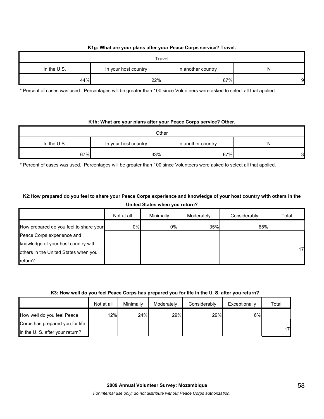## **K1g: What are your plans after your Peace Corps service? Travel.**

| Travel        |                      |                    |   |  |  |  |
|---------------|----------------------|--------------------|---|--|--|--|
| In the $U.S.$ | In your host country | In another country | N |  |  |  |
| 44%           | 22%                  | 67%                | 9 |  |  |  |

\* Percent of cases was used. Percentages will be greater than 100 since Volunteers were asked to select all that applied.

#### **K1h: What are your plans after your Peace Corps service? Other.**

| Other       |                      |                    |   |  |
|-------------|----------------------|--------------------|---|--|
| In the U.S. | In your host country | In another country |   |  |
| 67%         | 33%                  | 67%                | 3 |  |

\* Percent of cases was used. Percentages will be greater than 100 since Volunteers were asked to select all that applied.

## **K2:How prepared do you feel to share your Peace Corps experience and knowledge of your host country with others in the United States when you return?**

|                                        | Not at all | Minimally | Moderately | Considerably | Total |
|----------------------------------------|------------|-----------|------------|--------------|-------|
| How prepared do you feel to share your | 0%         | 0%        | 35%        | 65%          |       |
| Peace Corps experience and             |            |           |            |              |       |
| knowledge of your host country with    |            |           |            |              |       |
| others in the United States when you   |            |           |            |              | 17    |
| return?                                |            |           |            |              |       |

#### **K3: How well do you feel Peace Corps has prepared you for life in the U. S. after you return?**

|                                 | Not at all | Minimally | Moderately | Considerably | Exceptionally | Total |
|---------------------------------|------------|-----------|------------|--------------|---------------|-------|
| How well do you feel Peace      | 12%        | 24%       | 29%        | 29%          | 6%            |       |
| Corps has prepared you for life |            |           |            |              |               |       |
| in the U.S. after your return?  |            |           |            |              |               | 17    |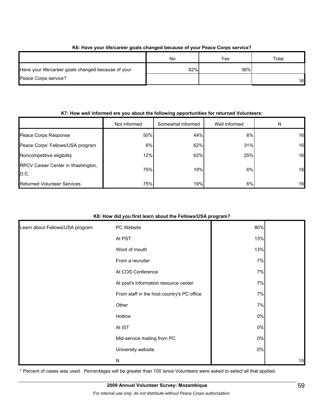| <u>no. Have your illercated yours changed because of your Feace outps service:</u> |     |     |                 |  |  |
|------------------------------------------------------------------------------------|-----|-----|-----------------|--|--|
|                                                                                    | No  | Yes | Total           |  |  |
| Have your life/career goals changed because of your                                | 62% | 38% |                 |  |  |
| Peace Corps service?                                                               |     |     | 16 <sup>1</sup> |  |  |

## **K6: Have your life/career goals changed because of your Peace Corps service?**

### **K7: How well informed are you about the following opportunities for returned Volunteers:**

|                                           | Not informed | Somewhat informed | Well informed | N  |
|-------------------------------------------|--------------|-------------------|---------------|----|
| Peace Corps Response                      | 50%          | 44%               | 6%            | 16 |
| Peace Corps' Fellows/USA program          | 6%           | 62%               | 31%           | 16 |
| Noncompetitive eligibility                | 12%          | 62%               | 25%           | 16 |
| RPCV Career Center in Washington,<br>D.C. | 75%          | 19%               | 6%            | 16 |
| Returned Volunteer Services               | 75%          | 19%               | 6%            | 16 |

### **K8: How did you first learn about the Fellows/USA program?**

| Learn about Fellows/USA program | PC Website                                 | 80%   |    |
|---------------------------------|--------------------------------------------|-------|----|
|                                 | At PST                                     | 13%   |    |
|                                 | Word of mouth                              | 13%   |    |
|                                 | From a recruiter                           | 7%    |    |
|                                 | At COS Conference                          | 7%    |    |
|                                 | At post's information resource center      | 7%    |    |
|                                 | From staff in the host country's PC office | 7%    |    |
|                                 | Other                                      | 7%    |    |
|                                 | Hotline                                    | $0\%$ |    |
|                                 | At IST                                     | $0\%$ |    |
|                                 | Mid-service mailing from PC                | $0\%$ |    |
|                                 | University website                         | $0\%$ |    |
|                                 | N                                          |       | 15 |

\* Percent of cases was used. Percentages will be greater than 100 since Volunteers were asked to select all that applied.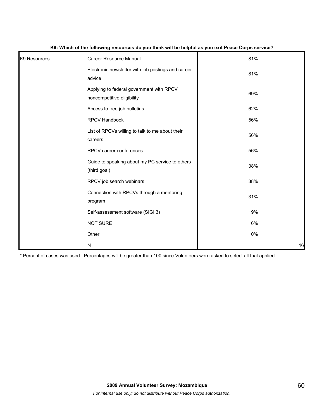| K9 Resources | Career Resource Manual                                                 | 81%   |    |
|--------------|------------------------------------------------------------------------|-------|----|
|              | Electronic newsletter with job postings and career<br>advice           | 81%   |    |
|              | Applying to federal government with RPCV<br>noncompetitive eligibility | 69%   |    |
|              | Access to free job bulletins                                           | 62%   |    |
|              | RPCV Handbook                                                          | 56%   |    |
|              | List of RPCVs willing to talk to me about their<br>careers             | 56%   |    |
|              | RPCV career conferences                                                | 56%   |    |
|              | Guide to speaking about my PC service to others<br>(third goal)        | 38%   |    |
|              | RPCV job search webinars                                               | 38%   |    |
|              | Connection with RPCVs through a mentoring<br>program                   | 31%   |    |
|              | Self-assessment software (SIGI 3)                                      | 19%   |    |
|              | <b>NOT SURE</b>                                                        | 6%    |    |
|              | Other                                                                  | $0\%$ |    |
|              | ${\sf N}$                                                              |       | 16 |

### **K9: Which of the following resources do you think will be helpful as you exit Peace Corps service?**

\* Percent of cases was used. Percentages will be greater than 100 since Volunteers were asked to select all that applied.